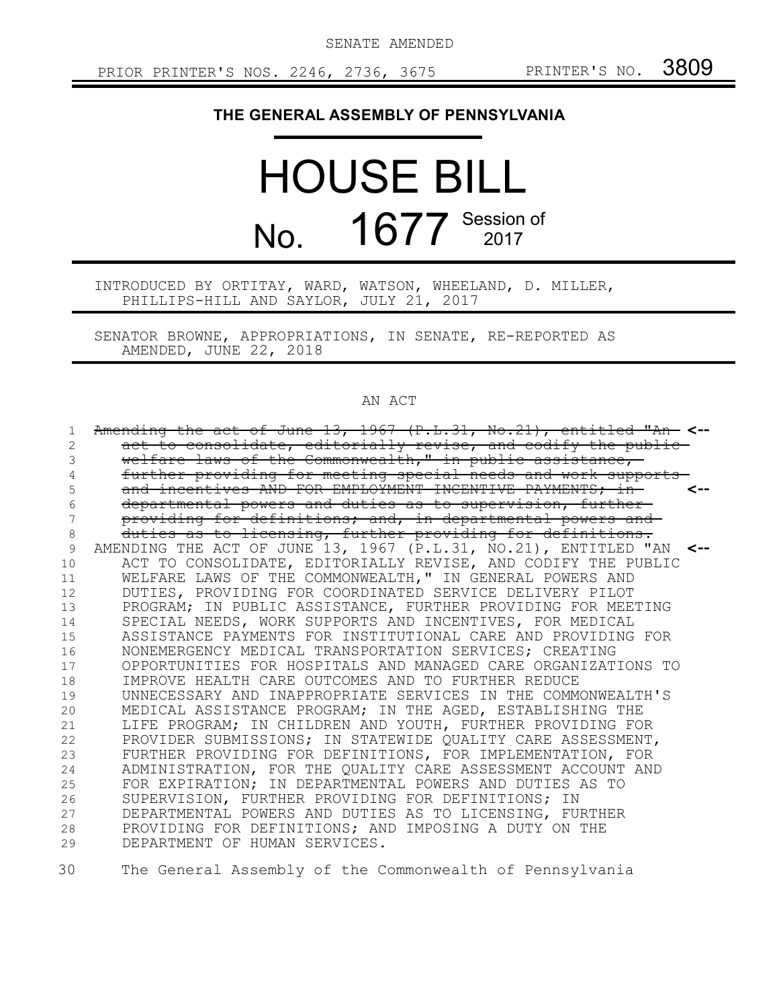SENATE AMENDED

## **THE GENERAL ASSEMBLY OF PENNSYLVANIA**

## HOUSE BILL No. 1677 Session of

## INTRODUCED BY ORTITAY, WARD, WATSON, WHEELAND, D. MILLER, PHILLIPS-HILL AND SAYLOR, JULY 21, 2017

SENATOR BROWNE, APPROPRIATIONS, IN SENATE, RE-REPORTED AS AMENDED, JUNE 22, 2018

## AN ACT

| 1. | Amending the act of June $13, 1967$ (P.L.31, No.21), entitled "An- <--       |  |
|----|------------------------------------------------------------------------------|--|
| 2  | act to consolidate, editorially revise, and codify the public-               |  |
| 3  | welfare laws of the Commonwealth," in public assistance,-                    |  |
|    | further providing for meeting special needs and work supports-               |  |
| 5  | and incentives AND FOR EMPLOYMENT INCENTIVE PAYMENTS; in-                    |  |
| 6  | departmental powers and duties as to supervision, further-                   |  |
| 7  | providing for definitions; and, in departmental powers and                   |  |
| 8  | duties as to licensing, further providing for definitions.                   |  |
| 9  | AMENDING THE ACT OF JUNE 13, 1967 $(P.L.31, NO.21)$ , ENTITLED "AN $\leq$ -- |  |
| 10 | ACT TO CONSOLIDATE, EDITORIALLY REVISE, AND CODIFY THE PUBLIC                |  |
| 11 | WELFARE LAWS OF THE COMMONWEALTH, " IN GENERAL POWERS AND                    |  |
| 12 | DUTIES, PROVIDING FOR COORDINATED SERVICE DELIVERY PILOT                     |  |
| 13 | PROGRAM; IN PUBLIC ASSISTANCE, FURTHER PROVIDING FOR MEETING                 |  |
| 14 | SPECIAL NEEDS, WORK SUPPORTS AND INCENTIVES, FOR MEDICAL                     |  |
| 15 | ASSISTANCE PAYMENTS FOR INSTITUTIONAL CARE AND PROVIDING FOR                 |  |
| 16 | NONEMERGENCY MEDICAL TRANSPORTATION SERVICES; CREATING                       |  |
| 17 | OPPORTUNITIES FOR HOSPITALS AND MANAGED CARE ORGANIZATIONS TO                |  |
| 18 | IMPROVE HEALTH CARE OUTCOMES AND TO FURTHER REDUCE                           |  |
| 19 | UNNECESSARY AND INAPPROPRIATE SERVICES IN THE COMMONWEALTH'S                 |  |
| 20 | MEDICAL ASSISTANCE PROGRAM; IN THE AGED, ESTABLISHING THE                    |  |
| 21 | LIFE PROGRAM; IN CHILDREN AND YOUTH, FURTHER PROVIDING FOR                   |  |
| 22 | PROVIDER SUBMISSIONS; IN STATEWIDE QUALITY CARE ASSESSMENT,                  |  |
| 23 | FURTHER PROVIDING FOR DEFINITIONS, FOR IMPLEMENTATION, FOR                   |  |
| 24 | ADMINISTRATION, FOR THE QUALITY CARE ASSESSMENT ACCOUNT AND                  |  |
| 25 | FOR EXPIRATION; IN DEPARTMENTAL POWERS AND DUTIES AS TO                      |  |
| 26 | SUPERVISION, FURTHER PROVIDING FOR DEFINITIONS; IN                           |  |
| 27 | DEPARTMENTAL POWERS AND DUTIES AS TO LICENSING, FURTHER                      |  |
| 28 | PROVIDING FOR DEFINITIONS; AND IMPOSING A DUTY ON THE                        |  |
| 29 | DEPARTMENT OF HUMAN SERVICES.                                                |  |

The General Assembly of the Commonwealth of Pennsylvania 30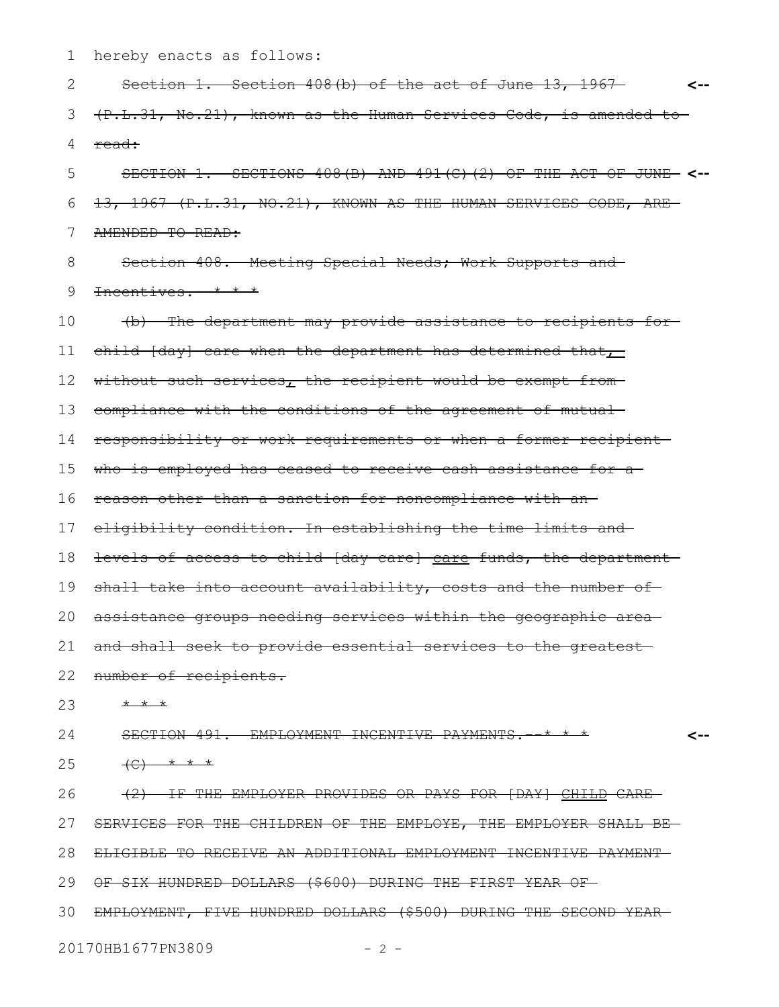hereby enacts as follows: 1

Section 1. Section 408(b) of the act of June 13, 1967 **<--** (P.L.31, No.21), known as the Human Services Code, is amended to read: SECTION 1. SECTIONS 408(B) AND 491(C)(2) OF THE ACT OF JUNE **<--** 13, 1967 (P.L.31, NO.21), KNOWN AS THE HUMAN SERVICES CODE, ARE AMENDED TO READ: Section 408. Meeting Special Needs; Work Supports and Incentives.--\* \* \* (b) The department may provide assistance to recipients for child [day] care when the department has determined that $\mathcal{L}$ without such services, the recipient would be exempt fromcompliance with the conditions of the agreement of mutual responsibility or work requirements or when a former recipient who is employed has ceased to receive cash assistance for a reason other than a sanction for noncompliance with an eligibility condition. In establishing the time limits and 18 <del>levels of access to child [day-care] care funds, the department</del> shall take into account availability, costs and the number of assistance groups needing services within the geographic area and shall seek to provide essential services to the greatest 22 number of recipients. \* \* \* SECTION 491. EMPLOYMENT INCENTIVE PAYMENTS. \*\* \* \*  $(C)$  \* \* \* (2) IF THE EMPLOYER PROVIDES OR PAYS FOR [DAY] CHILD CARE SERVICES FOR THE CHILDREN OF THE EMPLOYE, THE EMPLOYER SHALL BE ELIGIBLE TO RECEIVE AN ADDITIONAL EMPLOYMENT INCENTIVE PAYMENT OF SIX HUNDRED DOLLARS (\$600) DURING THE FIRST YEAR OF EMPLOYMENT, FIVE HUNDRED DOLLARS (\$500) DURING THE SECOND YEAR 30**<--** 2 3 4 5 6 7 8 9 10 11 12 13 14 15 16 17 19 20 21 23 24 25 26 27 28 29

20170HB1677PN3809 - 2 -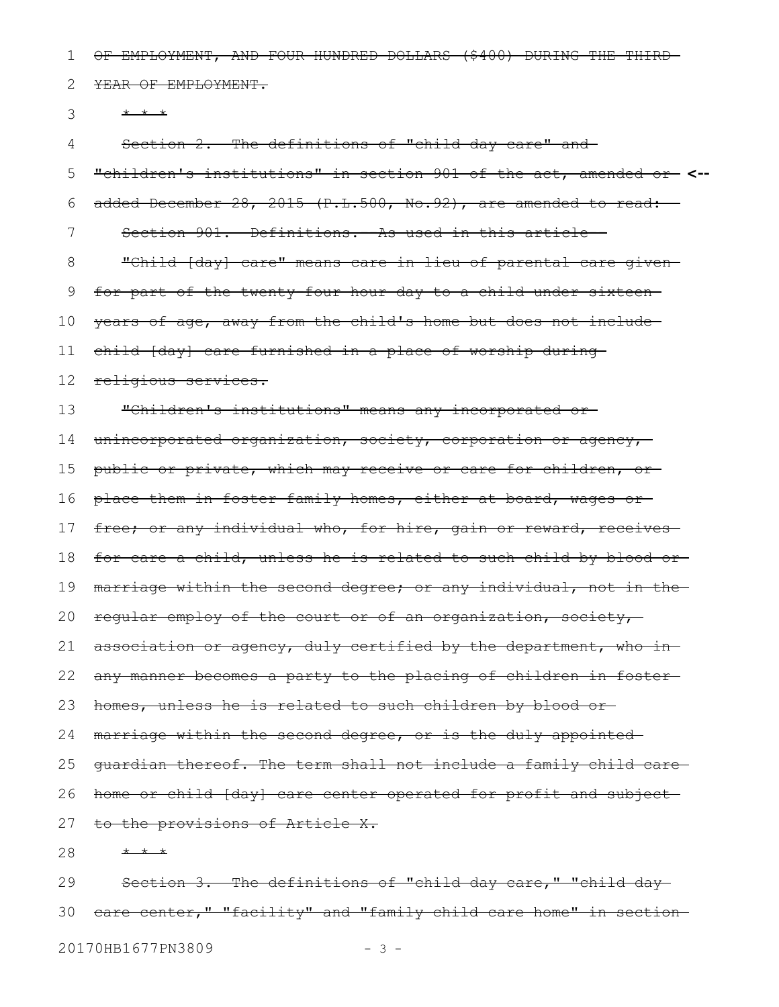OF EMPLOYMENT, AND FOUR HUNDRED DOLLARS (\$400) DURING THE THIRD 1

YEAR OF EMPLOYMENT. 2

\* \* \* 3

Section 2. The definitions of "child day care" and 4

"children's institutions" in section 901 of the act, amended or **<-** added December 28, 2015 (P.L.500, No.92), are amended to read: Section 901. Definitions.--As used in this article--"Child [day] care" means care in lieu of parental care given for part of the twenty-four hour day to a child under sixteen years of age, away from the child's home but does not include child [day] care furnished in a place of worship during religious services. "Children's institutions" means any incorporated or unincorporated organization, society, corporation or agency, public or private, which may receive or care for children, or place them in foster family homes, either at board, wages or free; or any individual who, for hire, gain or reward, receives for care a child, unless he is related to such child by blood or marriage within the second degree; or any individual, not in the regular employ of the court or of an organization, society, association or agency, duly certified by the department, who in any manner becomes a party to the placing of children in foster homes, unless he is related to such children by blood or marriage within the second degree, or is the duly appointed guardian thereof. The term shall not include a family child care home or child [day] care center operated for profit and subject to the provisions of Article X. \* \* \* 5 6 7 8 9 10 11 12 13 14 15 16 17 18 19 20 21 22 23 24 25 26 27 28

Section 3. The definitions of "child day care," "child day 30 care center," "facility" and "family child care home" in section 29

20170HB1677PN3809 - 3 -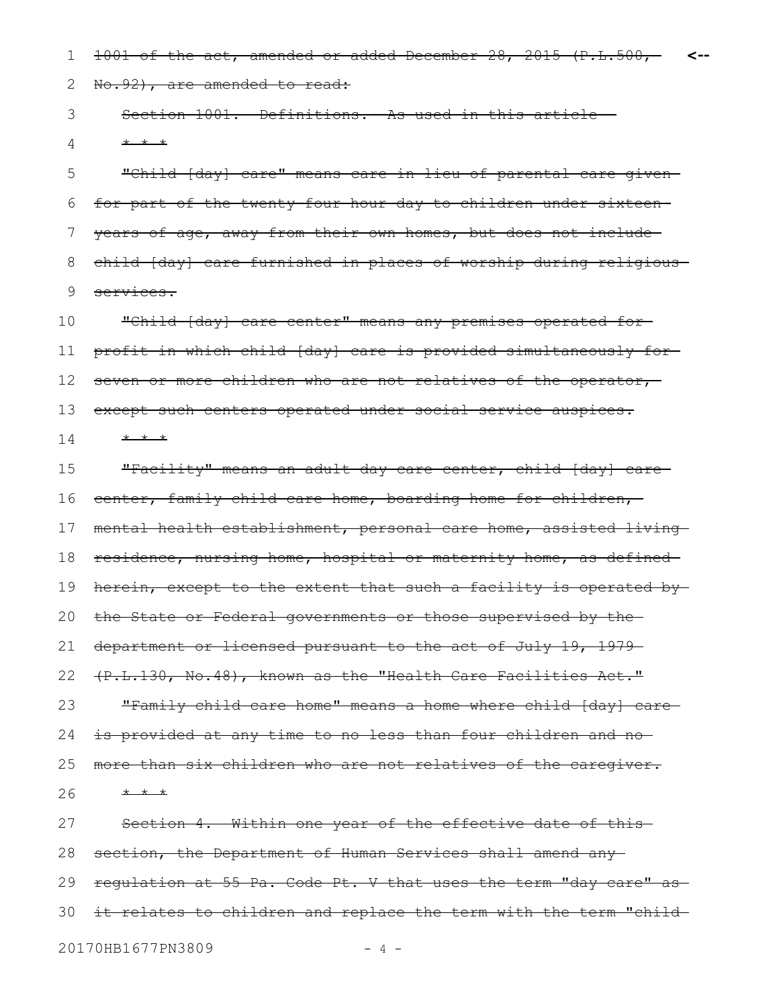1001 of the act, amended or added December 28, 2015 (P.L.500, 1 **<--**

No.92), are amended to read: 2

Section 1001. Definitions. - As used in this article--\* \* \* 3 4

"Child [day] care" means care in lieu of parental care given for part of the twenty-four hour day to children under sixteen years of age, away from their own homes, but does not include child [day] care furnished in places of worship during religious services. 5 6 7 8 9

"Child [day] care center" means any premises operated for profit in which child [day] care is provided simultaneously for seven or more children who are not relatives of the operator, except such centers operated under social service auspices. \* \* \* 10 11 12 13 14

"Facility" means an adult day care center, child [day] care center, family child care home, boarding home for children, mental health establishment, personal care home, assisted living residence, nursing home, hospital or maternity home, as defined herein, except to the extent that such a facility is operated bythe State or Federal governments or those supervised by the department or licensed pursuant to the act of July 19, 1979-(P.L.130, No.48), known as the "Health Care Facilities Act." "Family child care home" means a home where child [day] care is provided at any time to no less than four children and no more than six children who are not relatives of the caregiver. \* \* \* Section 4. Within one year of the effective date of this 15 16 17 18 19 20 21 22 23 24 25 26 27

section, the Department of Human Services shall amend any regulation at 55 Pa. Code Pt. V that uses the term "day care" as-30 it relates to children and replace the term with the term "child 20170HB1677PN3809 - 4 -28 29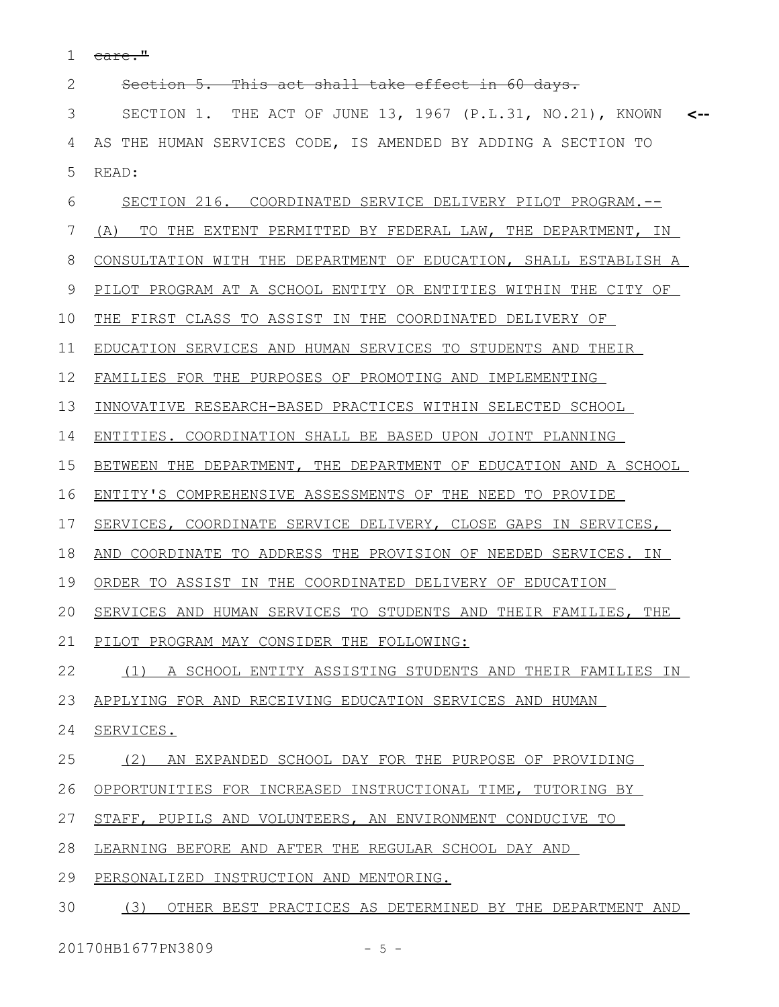care." 1

Section 5. This act shall take effect in 60 days. SECTION 1. THE ACT OF JUNE 13, 1967 (P.L.31, NO.21), KNOWN **<--** AS THE HUMAN SERVICES CODE, IS AMENDED BY ADDING A SECTION TO READ: SECTION 216. COORDINATED SERVICE DELIVERY PILOT PROGRAM.-- (A) TO THE EXTENT PERMITTED BY FEDERAL LAW, THE DEPARTMENT, IN CONSULTATION WITH THE DEPARTMENT OF EDUCATION, SHALL ESTABLISH A PILOT PROGRAM AT A SCHOOL ENTITY OR ENTITIES WITHIN THE CITY OF THE FIRST CLASS TO ASSIST IN THE COORDINATED DELIVERY OF EDUCATION SERVICES AND HUMAN SERVICES TO STUDENTS AND THEIR FAMILIES FOR THE PURPOSES OF PROMOTING AND IMPLEMENTING INNOVATIVE RESEARCH-BASED PRACTICES WITHIN SELECTED SCHOOL ENTITIES. COORDINATION SHALL BE BASED UPON JOINT PLANNING BETWEEN THE DEPARTMENT, THE DEPARTMENT OF EDUCATION AND A SCHOOL ENTITY'S COMPREHENSIVE ASSESSMENTS OF THE NEED TO PROVIDE SERVICES, COORDINATE SERVICE DELIVERY, CLOSE GAPS IN SERVICES, AND COORDINATE TO ADDRESS THE PROVISION OF NEEDED SERVICES. IN ORDER TO ASSIST IN THE COORDINATED DELIVERY OF EDUCATION SERVICES AND HUMAN SERVICES TO STUDENTS AND THEIR FAMILIES, THE PILOT PROGRAM MAY CONSIDER THE FOLLOWING: (1) A SCHOOL ENTITY ASSISTING STUDENTS AND THEIR FAMILIES IN APPLYING FOR AND RECEIVING EDUCATION SERVICES AND HUMAN SERVICES. (2) AN EXPANDED SCHOOL DAY FOR THE PURPOSE OF PROVIDING OPPORTUNITIES FOR INCREASED INSTRUCTIONAL TIME, TUTORING BY STAFF, PUPILS AND VOLUNTEERS, AN ENVIRONMENT CONDUCIVE TO LEARNING BEFORE AND AFTER THE REGULAR SCHOOL DAY AND PERSONALIZED INSTRUCTION AND MENTORING. 2 3 4 5 6 7 8 9 10 11 12 13 14 15 16 17 18 19 20 21 22 23 24 25 26 27 28 29

(3) OTHER BEST PRACTICES AS DETERMINED BY THE DEPARTMENT AND 30

20170HB1677PN3809 - 5 -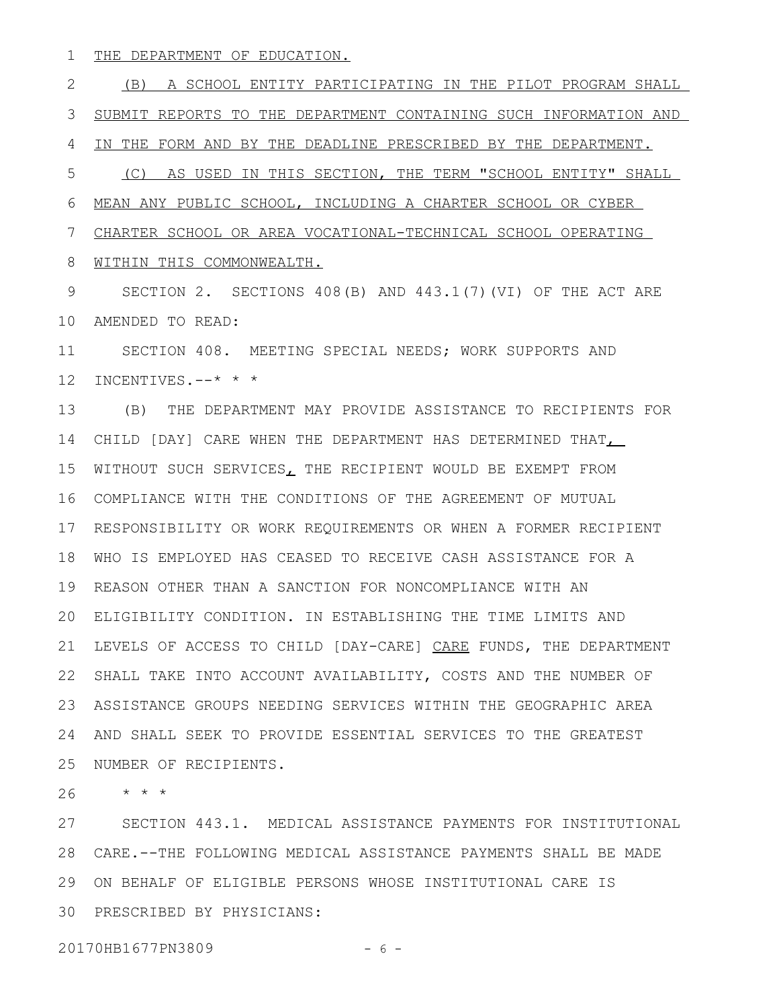THE DEPARTMENT OF EDUCATION. 1

(B) A SCHOOL ENTITY PARTICIPATING IN THE PILOT PROGRAM SHALL SUBMIT REPORTS TO THE DEPARTMENT CONTAINING SUCH INFORMATION AND IN THE FORM AND BY THE DEADLINE PRESCRIBED BY THE DEPARTMENT. (C) AS USED IN THIS SECTION, THE TERM "SCHOOL ENTITY" SHALL MEAN ANY PUBLIC SCHOOL, INCLUDING A CHARTER SCHOOL OR CYBER CHARTER SCHOOL OR AREA VOCATIONAL-TECHNICAL SCHOOL OPERATING WITHIN THIS COMMONWEALTH. SECTION 2. SECTIONS 408(B) AND 443.1(7)(VI) OF THE ACT ARE AMENDED TO READ: 10 SECTION 408. MEETING SPECIAL NEEDS; WORK SUPPORTS AND 12 INCENTIVES.--\* \* \* (B) THE DEPARTMENT MAY PROVIDE ASSISTANCE TO RECIPIENTS FOR 14 CHILD [DAY] CARE WHEN THE DEPARTMENT HAS DETERMINED THAT 15 WITHOUT SUCH SERVICES, THE RECIPIENT WOULD BE EXEMPT FROM COMPLIANCE WITH THE CONDITIONS OF THE AGREEMENT OF MUTUAL 16 17 RESPONSIBILITY OR WORK REQUIREMENTS OR WHEN A FORMER RECIPIENT WHO IS EMPLOYED HAS CEASED TO RECEIVE CASH ASSISTANCE FOR A 18 19 REASON OTHER THAN A SANCTION FOR NONCOMPLIANCE WITH AN ELIGIBILITY CONDITION. IN ESTABLISHING THE TIME LIMITS AND 20 21 LEVELS OF ACCESS TO CHILD [DAY-CARE] CARE FUNDS, THE DEPARTMENT 22 SHALL TAKE INTO ACCOUNT AVAILABILITY, COSTS AND THE NUMBER OF ASSISTANCE GROUPS NEEDING SERVICES WITHIN THE GEOGRAPHIC AREA 23 AND SHALL SEEK TO PROVIDE ESSENTIAL SERVICES TO THE GREATEST 24 25 NUMBER OF RECIPIENTS. \* \* \* 2 3 4 5 6 7 8 9 11 13 26

SECTION 443.1. MEDICAL ASSISTANCE PAYMENTS FOR INSTITUTIONAL CARE.--THE FOLLOWING MEDICAL ASSISTANCE PAYMENTS SHALL BE MADE 28 ON BEHALF OF ELIGIBLE PERSONS WHOSE INSTITUTIONAL CARE IS 29 30 PRESCRIBED BY PHYSICIANS: 27

20170HB1677PN3809 - 6 -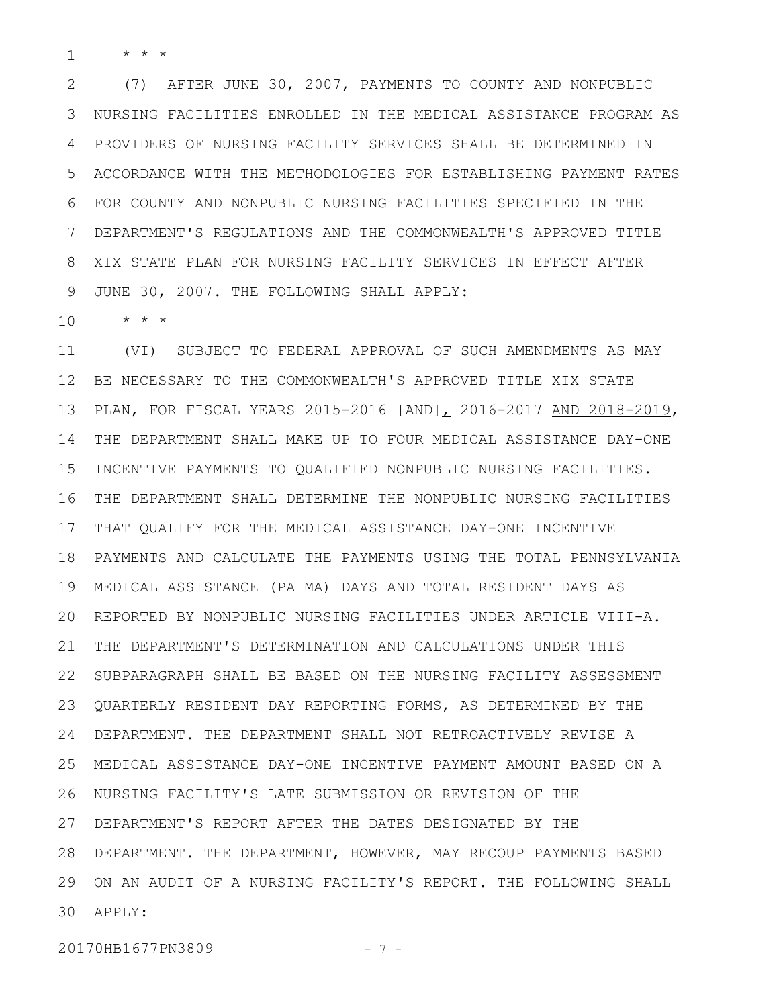\* \* \* 1

(7) AFTER JUNE 30, 2007, PAYMENTS TO COUNTY AND NONPUBLIC NURSING FACILITIES ENROLLED IN THE MEDICAL ASSISTANCE PROGRAM AS PROVIDERS OF NURSING FACILITY SERVICES SHALL BE DETERMINED IN ACCORDANCE WITH THE METHODOLOGIES FOR ESTABLISHING PAYMENT RATES FOR COUNTY AND NONPUBLIC NURSING FACILITIES SPECIFIED IN THE DEPARTMENT'S REGULATIONS AND THE COMMONWEALTH'S APPROVED TITLE XIX STATE PLAN FOR NURSING FACILITY SERVICES IN EFFECT AFTER JUNE 30, 2007. THE FOLLOWING SHALL APPLY: 2 3 4 5 6 7 8 9

\* \* \* 10

(VI) SUBJECT TO FEDERAL APPROVAL OF SUCH AMENDMENTS AS MAY BE NECESSARY TO THE COMMONWEALTH'S APPROVED TITLE XIX STATE PLAN, FOR FISCAL YEARS 2015-2016 [AND], 2016-2017 AND 2018-2019, THE DEPARTMENT SHALL MAKE UP TO FOUR MEDICAL ASSISTANCE DAY-ONE INCENTIVE PAYMENTS TO QUALIFIED NONPUBLIC NURSING FACILITIES. THE DEPARTMENT SHALL DETERMINE THE NONPUBLIC NURSING FACILITIES THAT QUALIFY FOR THE MEDICAL ASSISTANCE DAY-ONE INCENTIVE PAYMENTS AND CALCULATE THE PAYMENTS USING THE TOTAL PENNSYLVANIA MEDICAL ASSISTANCE (PA MA) DAYS AND TOTAL RESIDENT DAYS AS 19 20 REPORTED BY NONPUBLIC NURSING FACILITIES UNDER ARTICLE VIII-A. THE DEPARTMENT'S DETERMINATION AND CALCULATIONS UNDER THIS 22 SUBPARAGRAPH SHALL BE BASED ON THE NURSING FACILITY ASSESSMENT QUARTERLY RESIDENT DAY REPORTING FORMS, AS DETERMINED BY THE DEPARTMENT. THE DEPARTMENT SHALL NOT RETROACTIVELY REVISE A MEDICAL ASSISTANCE DAY-ONE INCENTIVE PAYMENT AMOUNT BASED ON A NURSING FACILITY'S LATE SUBMISSION OR REVISION OF THE DEPARTMENT'S REPORT AFTER THE DATES DESIGNATED BY THE 27 DEPARTMENT. THE DEPARTMENT, HOWEVER, MAY RECOUP PAYMENTS BASED 28 29 ON AN AUDIT OF A NURSING FACILITY'S REPORT. THE FOLLOWING SHALL APPLY: 3011 12 13 14 15 16 17 18 21 23 24 25 26

20170HB1677PN3809 - 7 -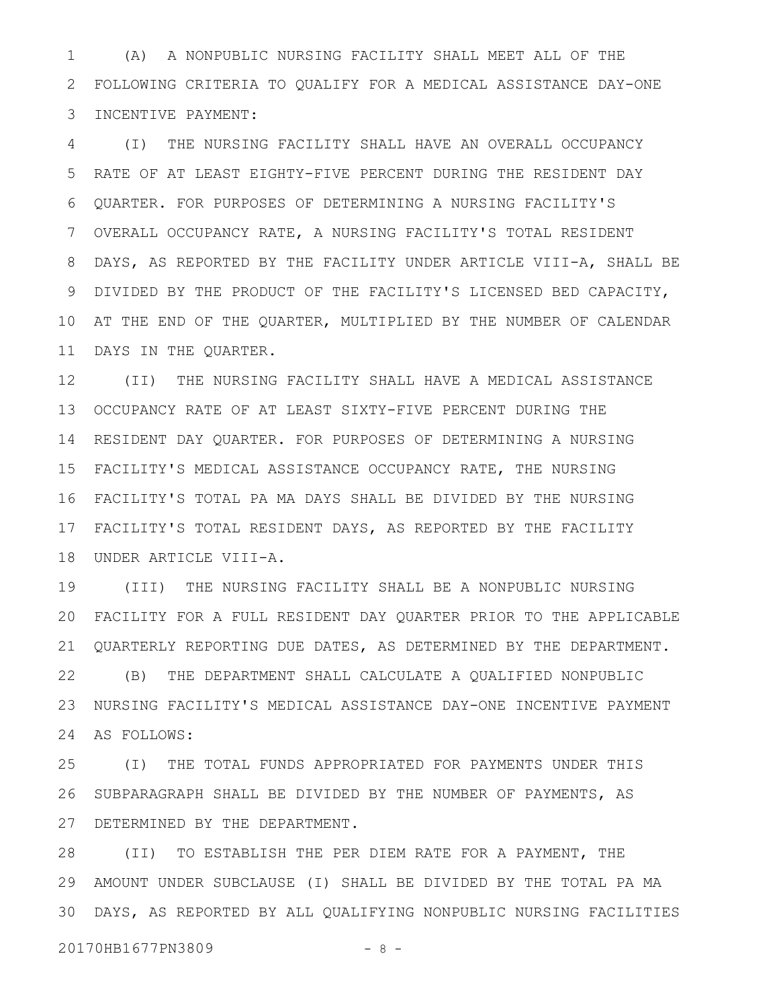(A) A NONPUBLIC NURSING FACILITY SHALL MEET ALL OF THE FOLLOWING CRITERIA TO QUALIFY FOR A MEDICAL ASSISTANCE DAY-ONE 2 INCENTIVE PAYMENT: 1 3

(I) THE NURSING FACILITY SHALL HAVE AN OVERALL OCCUPANCY RATE OF AT LEAST EIGHTY-FIVE PERCENT DURING THE RESIDENT DAY QUARTER. FOR PURPOSES OF DETERMINING A NURSING FACILITY'S OVERALL OCCUPANCY RATE, A NURSING FACILITY'S TOTAL RESIDENT DAYS, AS REPORTED BY THE FACILITY UNDER ARTICLE VIII-A, SHALL BE DIVIDED BY THE PRODUCT OF THE FACILITY'S LICENSED BED CAPACITY, AT THE END OF THE QUARTER, MULTIPLIED BY THE NUMBER OF CALENDAR DAYS IN THE QUARTER. 4 5 6 7 8 9 10 11

(II) THE NURSING FACILITY SHALL HAVE A MEDICAL ASSISTANCE OCCUPANCY RATE OF AT LEAST SIXTY-FIVE PERCENT DURING THE 13 14 RESIDENT DAY QUARTER. FOR PURPOSES OF DETERMINING A NURSING FACILITY'S MEDICAL ASSISTANCE OCCUPANCY RATE, THE NURSING 15 FACILITY'S TOTAL PA MA DAYS SHALL BE DIVIDED BY THE NURSING 16 17 FACILITY'S TOTAL RESIDENT DAYS, AS REPORTED BY THE FACILITY UNDER ARTICLE VIII-A. 18 12

(III) THE NURSING FACILITY SHALL BE A NONPUBLIC NURSING FACILITY FOR A FULL RESIDENT DAY QUARTER PRIOR TO THE APPLICABLE 20 QUARTERLY REPORTING DUE DATES, AS DETERMINED BY THE DEPARTMENT. 21 (B) THE DEPARTMENT SHALL CALCULATE A QUALIFIED NONPUBLIC NURSING FACILITY'S MEDICAL ASSISTANCE DAY-ONE INCENTIVE PAYMENT 24 AS FOLLOWS: 19 22 23

(I) THE TOTAL FUNDS APPROPRIATED FOR PAYMENTS UNDER THIS SUBPARAGRAPH SHALL BE DIVIDED BY THE NUMBER OF PAYMENTS, AS 27 DETERMINED BY THE DEPARTMENT. 25 26

(II) TO ESTABLISH THE PER DIEM RATE FOR A PAYMENT, THE AMOUNT UNDER SUBCLAUSE (I) SHALL BE DIVIDED BY THE TOTAL PA MA 29 DAYS, AS REPORTED BY ALL QUALIFYING NONPUBLIC NURSING FACILITIES 3028

20170HB1677PN3809 - 8 -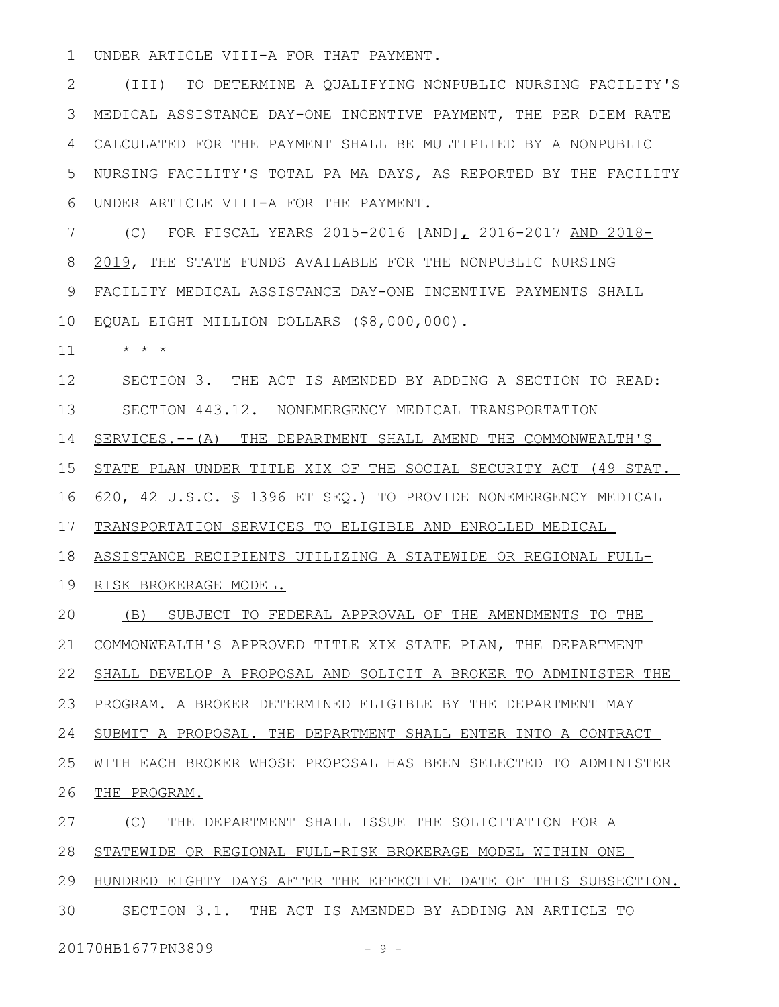UNDER ARTICLE VIII-A FOR THAT PAYMENT. 1

(III) TO DETERMINE A QUALIFYING NONPUBLIC NURSING FACILITY'S MEDICAL ASSISTANCE DAY-ONE INCENTIVE PAYMENT, THE PER DIEM RATE CALCULATED FOR THE PAYMENT SHALL BE MULTIPLIED BY A NONPUBLIC NURSING FACILITY'S TOTAL PA MA DAYS, AS REPORTED BY THE FACILITY UNDER ARTICLE VIII-A FOR THE PAYMENT. 2 3 4 5 6

(C) FOR FISCAL YEARS 2015-2016 [AND], 2016-2017 AND 2018- 2019, THE STATE FUNDS AVAILABLE FOR THE NONPUBLIC NURSING FACILITY MEDICAL ASSISTANCE DAY-ONE INCENTIVE PAYMENTS SHALL EQUAL EIGHT MILLION DOLLARS (\$8,000,000). 10 7 8 9

\* \* \* 11

SECTION 3. THE ACT IS AMENDED BY ADDING A SECTION TO READ: SECTION 443.12. NONEMERGENCY MEDICAL TRANSPORTATION 12 13

SERVICES.--(A) THE DEPARTMENT SHALL AMEND THE COMMONWEALTH'S 14

STATE PLAN UNDER TITLE XIX OF THE SOCIAL SECURITY ACT (49 STAT. 15

620, 42 U.S.C. § 1396 ET SEQ.) TO PROVIDE NONEMERGENCY MEDICAL 16

TRANSPORTATION SERVICES TO ELIGIBLE AND ENROLLED MEDICAL 17

ASSISTANCE RECIPIENTS UTILIZING A STATEWIDE OR REGIONAL FULL-18

19 RISK BROKERAGE MODEL.

(B) SUBJECT TO FEDERAL APPROVAL OF THE AMENDMENTS TO THE COMMONWEALTH'S APPROVED TITLE XIX STATE PLAN, THE DEPARTMENT 20 21

22 SHALL DEVELOP A PROPOSAL AND SOLICIT A BROKER TO ADMINISTER THE

PROGRAM. A BROKER DETERMINED ELIGIBLE BY THE DEPARTMENT MAY 23

SUBMIT A PROPOSAL. THE DEPARTMENT SHALL ENTER INTO A CONTRACT 24

WITH EACH BROKER WHOSE PROPOSAL HAS BEEN SELECTED TO ADMINISTER 25

THE PROGRAM. 26

(C) THE DEPARTMENT SHALL ISSUE THE SOLICITATION FOR A 27

STATEWIDE OR REGIONAL FULL-RISK BROKERAGE MODEL WITHIN ONE 28

29 HUNDRED EIGHTY DAYS AFTER THE EFFECTIVE DATE OF THIS SUBSECTION.

SECTION 3.1. THE ACT IS AMENDED BY ADDING AN ARTICLE TO 30

20170HB1677PN3809 - 9 -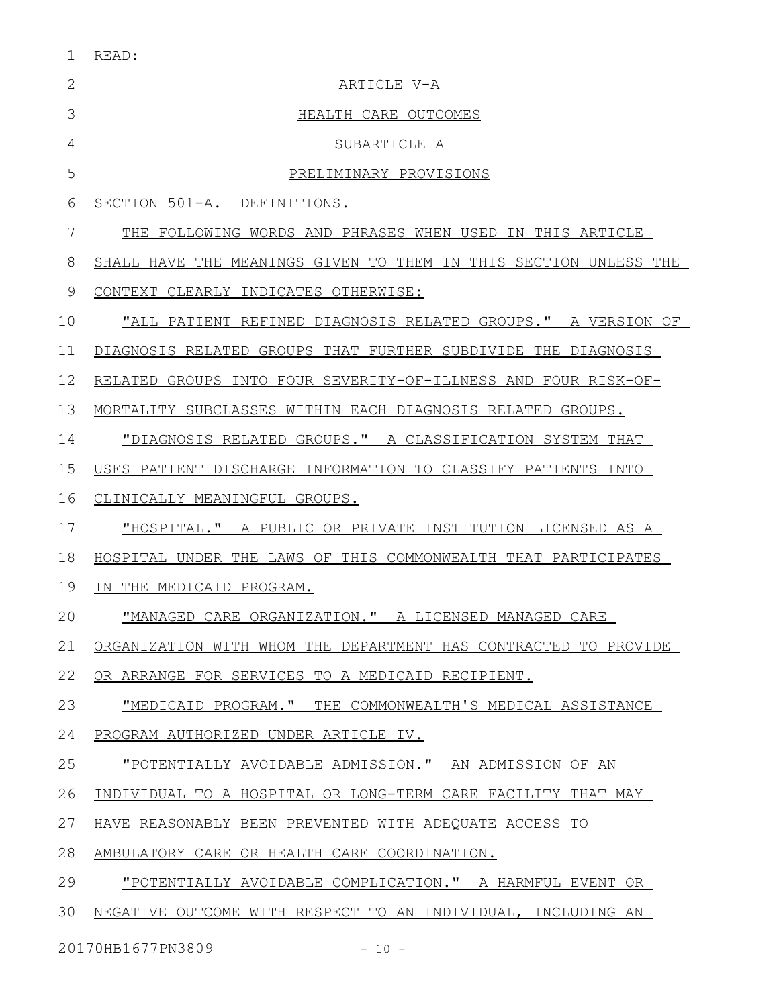| $\overline{\phantom{0}}$<br>× |
|-------------------------------|
|                               |

| $\overline{2}$ | ARTICLE V-A                                                      |
|----------------|------------------------------------------------------------------|
| 3              | HEALTH CARE OUTCOMES                                             |
| 4              | SUBARTICLE A                                                     |
| 5              | PRELIMINARY PROVISIONS                                           |
| 6              | SECTION 501-A. DEFINITIONS.                                      |
| 7              | THE FOLLOWING WORDS AND PHRASES WHEN USED IN THIS ARTICLE        |
| 8              | SHALL HAVE THE MEANINGS GIVEN TO THEM IN THIS SECTION UNLESS THE |
| 9              | CONTEXT CLEARLY INDICATES OTHERWISE:                             |
| 10             | "ALL PATIENT REFINED DIAGNOSIS RELATED GROUPS." A VERSION OF     |
| 11             | DIAGNOSIS RELATED GROUPS THAT FURTHER SUBDIVIDE THE DIAGNOSIS    |
| 12             | RELATED GROUPS INTO FOUR SEVERITY-OF-ILLNESS AND FOUR RISK-OF-   |
| 13             | MORTALITY SUBCLASSES WITHIN EACH DIAGNOSIS RELATED GROUPS.       |
| 14             | "DIAGNOSIS RELATED GROUPS." A CLASSIFICATION SYSTEM THAT         |
| 15             | USES PATIENT DISCHARGE INFORMATION TO CLASSIFY PATIENTS INTO     |
| 16             | CLINICALLY MEANINGFUL GROUPS.                                    |
| 17             | "HOSPITAL." A PUBLIC OR PRIVATE INSTITUTION LICENSED AS A        |
| 18             | HOSPITAL UNDER THE LAWS OF THIS COMMONWEALTH THAT PARTICIPATES   |
| 19             | IN THE MEDICAID PROGRAM.                                         |
| 20             | "MANAGED CARE ORGANIZATION." A LICENSED MANAGED CARE             |
| 21             | ORGANIZATION WITH WHOM THE DEPARTMENT HAS CONTRACTED TO PROVIDE  |
| 22             | OR ARRANGE FOR SERVICES TO A MEDICAID RECIPIENT.                 |
| 23             | "MEDICAID PROGRAM." THE COMMONWEALTH'S MEDICAL ASSISTANCE        |
| 24             | PROGRAM AUTHORIZED UNDER ARTICLE IV.                             |
| 25             | "POTENTIALLY AVOIDABLE ADMISSION." AN ADMISSION OF AN            |
| 26             | INDIVIDUAL TO A HOSPITAL OR LONG-TERM CARE FACILITY THAT MAY     |
| 27             | HAVE REASONABLY BEEN PREVENTED WITH ADEQUATE ACCESS TO           |
| 28             | AMBULATORY CARE OR HEALTH CARE COORDINATION.                     |
| 29             | "POTENTIALLY AVOIDABLE COMPLICATION." A HARMFUL EVENT OR         |
| 30             | NEGATIVE OUTCOME WITH RESPECT TO AN INDIVIDUAL, INCLUDING AN     |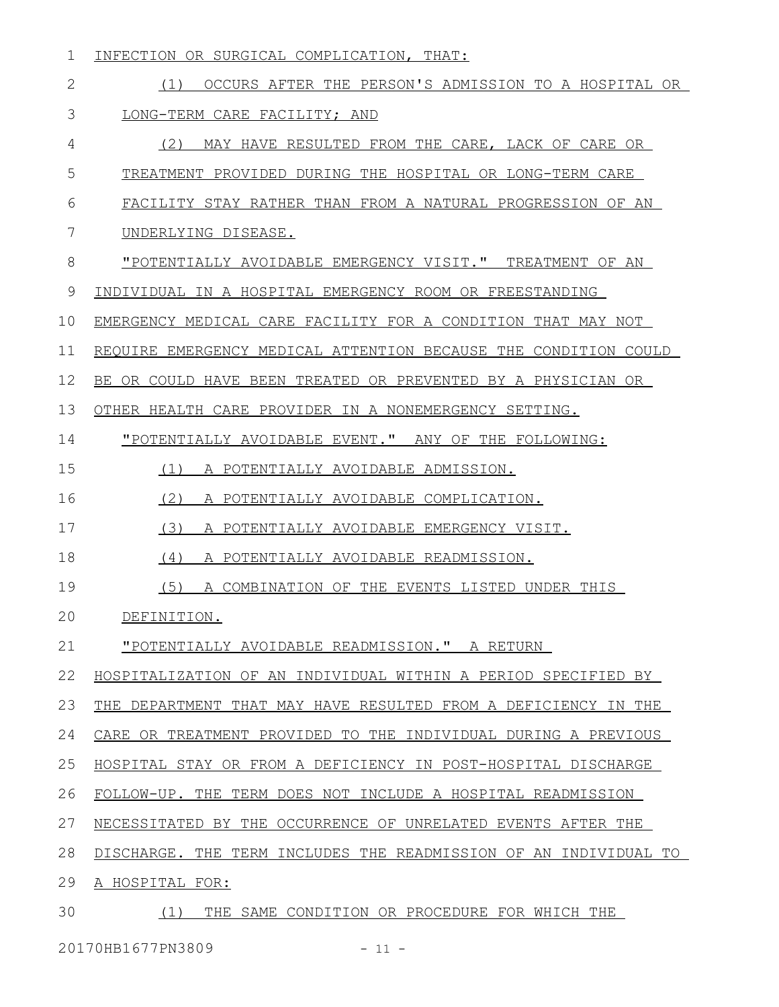| 1  | INFECTION OR SURGICAL COMPLICATION, THAT:                        |
|----|------------------------------------------------------------------|
| 2  | OCCURS AFTER THE PERSON'S ADMISSION TO A HOSPITAL OR<br>(1)      |
| 3  | LONG-TERM CARE FACILITY; AND                                     |
| 4  | (2) MAY HAVE RESULTED FROM THE CARE, LACK OF CARE OR             |
| 5  | TREATMENT PROVIDED DURING THE HOSPITAL OR LONG-TERM CARE         |
| 6  | FACILITY STAY RATHER THAN FROM A NATURAL PROGRESSION OF AN       |
| 7  | UNDERLYING DISEASE.                                              |
| 8  | "POTENTIALLY AVOIDABLE EMERGENCY VISIT." TREATMENT OF AN         |
| 9  | INDIVIDUAL IN A HOSPITAL EMERGENCY ROOM OR FREESTANDING          |
| 10 | EMERGENCY MEDICAL CARE FACILITY FOR A CONDITION THAT MAY NOT     |
| 11 | REQUIRE EMERGENCY MEDICAL ATTENTION BECAUSE THE CONDITION COULD  |
| 12 | BE OR COULD HAVE BEEN TREATED OR PREVENTED BY A PHYSICIAN OR     |
| 13 | OTHER HEALTH CARE PROVIDER IN A NONEMERGENCY SETTING.            |
| 14 | "POTENTIALLY AVOIDABLE EVENT." ANY OF THE FOLLOWING:             |
| 15 | (1)<br>A POTENTIALLY AVOIDABLE ADMISSION.                        |
| 16 | (2)<br>A POTENTIALLY AVOIDABLE COMPLICATION.                     |
| 17 | (3)<br>A POTENTIALLY AVOIDABLE EMERGENCY VISIT.                  |
| 18 | (4)<br>A POTENTIALLY AVOIDABLE READMISSION.                      |
| 19 | (5)<br>A COMBINATION OF THE EVENTS LISTED UNDER THIS             |
| 20 | DEFINITION.                                                      |
| 21 | "POTENTIALLY AVOIDABLE READMISSION." A RETURN                    |
| 22 | HOSPITALIZATION OF AN INDIVIDUAL WITHIN A PERIOD SPECIFIED BY    |
| 23 | THE DEPARTMENT THAT MAY HAVE RESULTED FROM A DEFICIENCY IN THE   |
| 24 | CARE OR TREATMENT PROVIDED TO THE INDIVIDUAL DURING A PREVIOUS   |
| 25 | HOSPITAL STAY OR FROM A DEFICIENCY IN POST-HOSPITAL DISCHARGE    |
| 26 | FOLLOW-UP. THE TERM DOES NOT INCLUDE A HOSPITAL READMISSION      |
| 27 | NECESSITATED BY THE OCCURRENCE OF UNRELATED EVENTS AFTER THE     |
| 28 | DISCHARGE. THE TERM INCLUDES THE READMISSION OF AN INDIVIDUAL TO |
| 29 | A HOSPITAL FOR:                                                  |
| 30 | THE SAME CONDITION OR PROCEDURE FOR WHICH THE<br>(1)             |

20170HB1677PN3809 - 11 -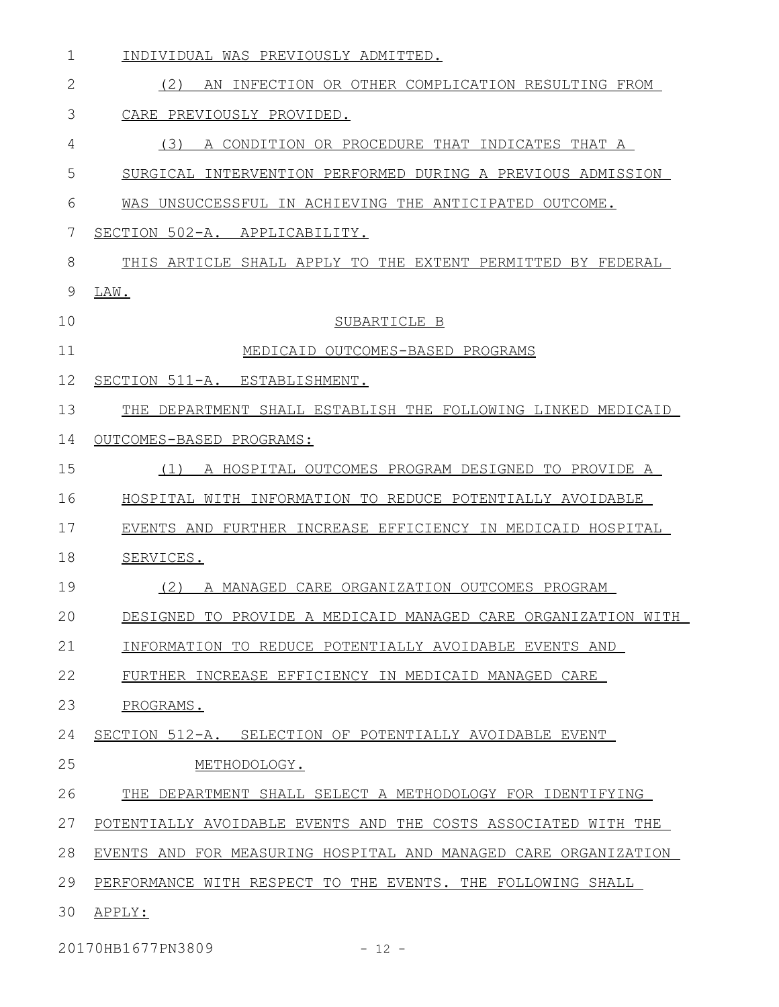| $\mathbf 1$  | INDIVIDUAL WAS PREVIOUSLY ADMITTED.                             |
|--------------|-----------------------------------------------------------------|
| $\mathbf{2}$ | (2)<br>AN INFECTION OR OTHER COMPLICATION RESULTING FROM        |
| 3            | CARE PREVIOUSLY PROVIDED.                                       |
| 4            | (3)<br>A CONDITION OR PROCEDURE THAT INDICATES THAT A           |
| 5            | SURGICAL INTERVENTION PERFORMED DURING A PREVIOUS ADMISSION     |
| 6            | WAS UNSUCCESSFUL IN ACHIEVING THE ANTICIPATED OUTCOME.          |
| 7            | SECTION 502-A. APPLICABILITY.                                   |
| 8            | THIS ARTICLE SHALL APPLY TO THE EXTENT PERMITTED BY FEDERAL     |
| 9            | LAW.                                                            |
| 10           | SUBARTICLE B                                                    |
| 11           | MEDICAID OUTCOMES-BASED PROGRAMS                                |
| 12           | SECTION 511-A. ESTABLISHMENT.                                   |
| 13           | THE DEPARTMENT SHALL ESTABLISH THE FOLLOWING LINKED MEDICAID    |
| 14           | OUTCOMES-BASED PROGRAMS:                                        |
| 15           | A HOSPITAL OUTCOMES PROGRAM DESIGNED TO PROVIDE A<br>(1)        |
| 16           | HOSPITAL WITH INFORMATION TO REDUCE POTENTIALLY AVOIDABLE       |
| 17           | EVENTS AND FURTHER INCREASE EFFICIENCY IN MEDICAID HOSPITAL     |
| 18           | SERVICES.                                                       |
| 19           | (2)<br>A MANAGED CARE ORGANIZATION OUTCOMES PROGRAM             |
| 20           | DESIGNED TO PROVIDE A MEDICAID MANAGED CARE ORGANIZATION WITH   |
| 21           | INFORMATION TO REDUCE POTENTIALLY AVOIDABLE EVENTS AND          |
| 22           | FURTHER INCREASE EFFICIENCY IN MEDICAID MANAGED CARE            |
| 23           | PROGRAMS.                                                       |
| 24           | SECTION 512-A. SELECTION OF POTENTIALLY AVOIDABLE EVENT         |
| 25           | METHODOLOGY.                                                    |
| 26           | THE DEPARTMENT SHALL SELECT A METHODOLOGY FOR IDENTIFYING       |
| 27           | POTENTIALLY AVOIDABLE EVENTS AND THE COSTS ASSOCIATED WITH THE  |
| 28           | EVENTS AND FOR MEASURING HOSPITAL AND MANAGED CARE ORGANIZATION |
| 29           | PERFORMANCE WITH RESPECT TO THE EVENTS. THE FOLLOWING SHALL     |
| 30           | APPLY:                                                          |

20170HB1677PN3809 - 12 -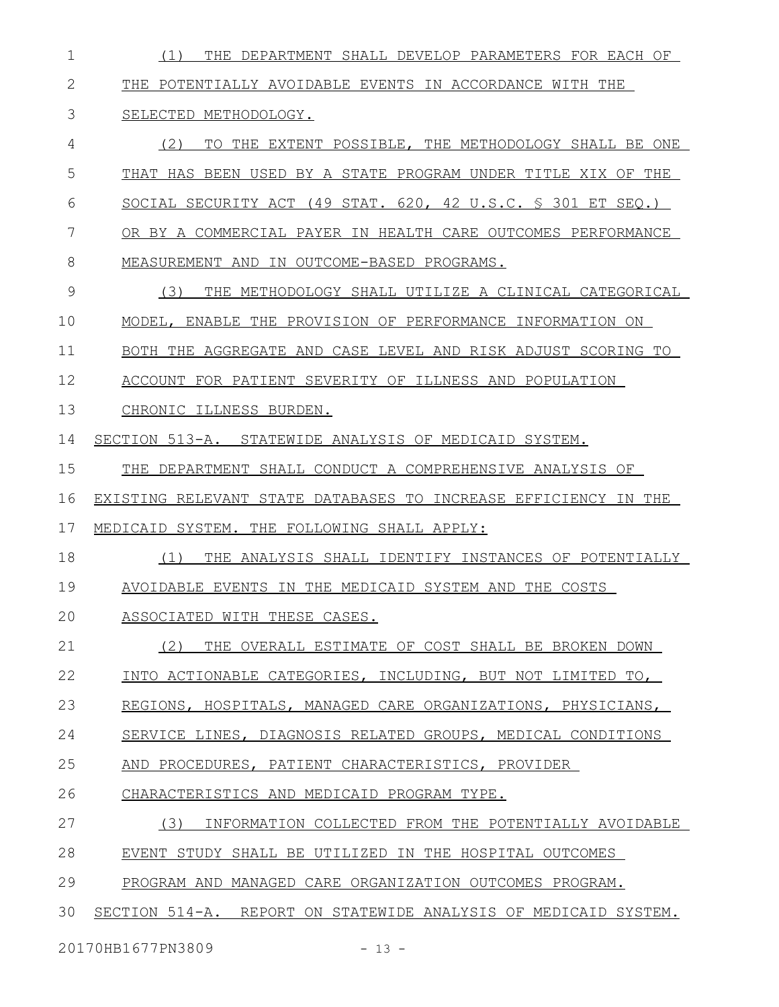(1) THE DEPARTMENT SHALL DEVELOP PARAMETERS FOR EACH OF THE POTENTIALLY AVOIDABLE EVENTS IN ACCORDANCE WITH THE SELECTED METHODOLOGY. (2) TO THE EXTENT POSSIBLE, THE METHODOLOGY SHALL BE ONE THAT HAS BEEN USED BY A STATE PROGRAM UNDER TITLE XIX OF THE SOCIAL SECURITY ACT (49 STAT. 620, 42 U.S.C. § 301 ET SEQ.) OR BY A COMMERCIAL PAYER IN HEALTH CARE OUTCOMES PERFORMANCE MEASUREMENT AND IN OUTCOME-BASED PROGRAMS. (3) THE METHODOLOGY SHALL UTILIZE A CLINICAL CATEGORICAL MODEL, ENABLE THE PROVISION OF PERFORMANCE INFORMATION ON BOTH THE AGGREGATE AND CASE LEVEL AND RISK ADJUST SCORING TO ACCOUNT FOR PATIENT SEVERITY OF ILLNESS AND POPULATION CHRONIC ILLNESS BURDEN. SECTION 513-A. STATEWIDE ANALYSIS OF MEDICAID SYSTEM. THE DEPARTMENT SHALL CONDUCT A COMPREHENSIVE ANALYSIS OF EXISTING RELEVANT STATE DATABASES TO INCREASE EFFICIENCY IN THE MEDICAID SYSTEM. THE FOLLOWING SHALL APPLY: (1) THE ANALYSIS SHALL IDENTIFY INSTANCES OF POTENTIALLY AVOIDABLE EVENTS IN THE MEDICAID SYSTEM AND THE COSTS ASSOCIATED WITH THESE CASES. (2) THE OVERALL ESTIMATE OF COST SHALL BE BROKEN DOWN INTO ACTIONABLE CATEGORIES, INCLUDING, BUT NOT LIMITED TO, REGIONS, HOSPITALS, MANAGED CARE ORGANIZATIONS, PHYSICIANS, SERVICE LINES, DIAGNOSIS RELATED GROUPS, MEDICAL CONDITIONS AND PROCEDURES, PATIENT CHARACTERISTICS, PROVIDER CHARACTERISTICS AND MEDICAID PROGRAM TYPE. (3) INFORMATION COLLECTED FROM THE POTENTIALLY AVOIDABLE EVENT STUDY SHALL BE UTILIZED IN THE HOSPITAL OUTCOMES PROGRAM AND MANAGED CARE ORGANIZATION OUTCOMES PROGRAM. SECTION 514-A. REPORT ON STATEWIDE ANALYSIS OF MEDICAID SYSTEM. 1 2 3 4 5 6 7 8 9 10 11 12 13 14 15 16 17 18 19 20 21 22 23 24 25 26 27 28 29 30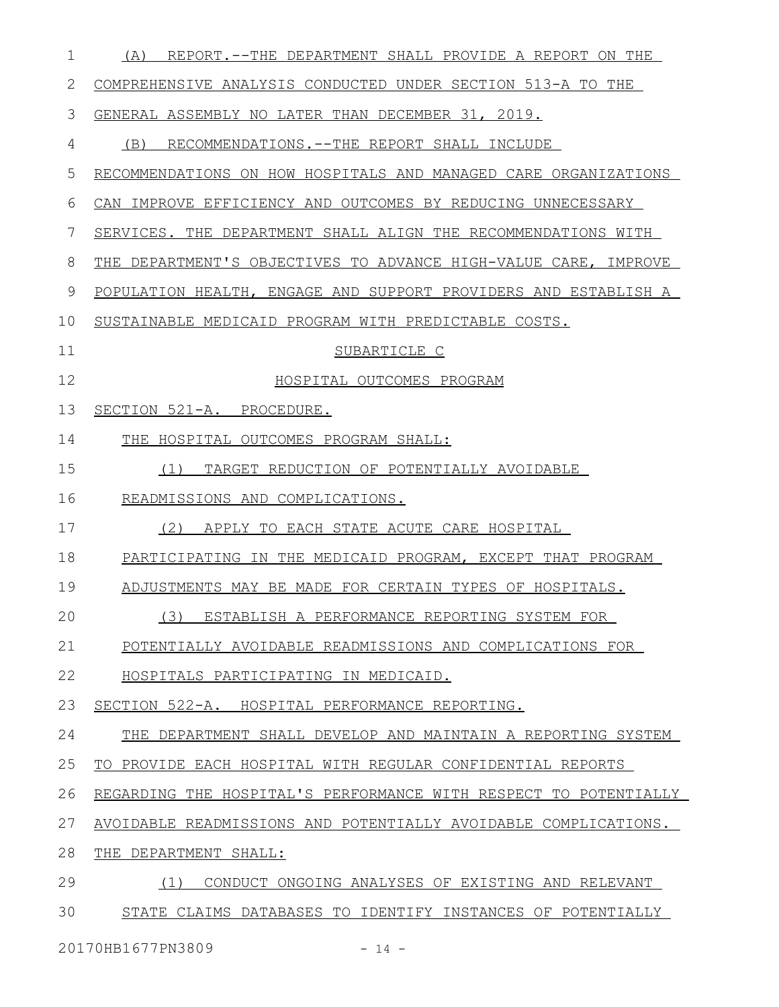| $\mathbf 1$ | (A) REPORT.--THE DEPARTMENT SHALL PROVIDE A REPORT ON THE        |
|-------------|------------------------------------------------------------------|
| 2           | COMPREHENSIVE ANALYSIS CONDUCTED UNDER SECTION 513-A TO THE      |
| 3           | GENERAL ASSEMBLY NO LATER THAN DECEMBER 31, 2019.                |
| 4           | (B)<br>RECOMMENDATIONS. -- THE REPORT SHALL INCLUDE              |
| 5           | RECOMMENDATIONS ON HOW HOSPITALS AND MANAGED CARE ORGANIZATIONS  |
| 6           | CAN IMPROVE EFFICIENCY AND OUTCOMES BY REDUCING UNNECESSARY      |
| 7           | SERVICES. THE DEPARTMENT SHALL ALIGN THE RECOMMENDATIONS WITH    |
| 8           | THE DEPARTMENT'S OBJECTIVES TO ADVANCE HIGH-VALUE CARE, IMPROVE  |
| 9           | POPULATION HEALTH, ENGAGE AND SUPPORT PROVIDERS AND ESTABLISH A  |
| 10          | SUSTAINABLE MEDICAID PROGRAM WITH PREDICTABLE COSTS.             |
| 11          | SUBARTICLE C                                                     |
| 12          | HOSPITAL OUTCOMES PROGRAM                                        |
| 13          | SECTION 521-A. PROCEDURE.                                        |
| 14          | THE HOSPITAL OUTCOMES PROGRAM SHALL:                             |
| 15          | TARGET REDUCTION OF POTENTIALLY AVOIDABLE<br>(1)                 |
| 16          | READMISSIONS AND COMPLICATIONS.                                  |
| 17          | (2)<br>APPLY TO EACH STATE ACUTE CARE HOSPITAL                   |
| 18          | PARTICIPATING IN THE MEDICAID PROGRAM, EXCEPT THAT PROGRAM       |
| 19          | ADJUSTMENTS MAY BE MADE FOR CERTAIN TYPES OF HOSPITALS.          |
| 20          | (3) ESTABLISH A PERFORMANCE REPORTING SYSTEM FOR                 |
| 21          | POTENTIALLY AVOIDABLE READMISSIONS AND COMPLICATIONS FOR         |
| 22          | HOSPITALS PARTICIPATING IN MEDICAID.                             |
| 23          | SECTION 522-A. HOSPITAL PERFORMANCE REPORTING.                   |
| 24          | THE DEPARTMENT SHALL DEVELOP AND MAINTAIN A REPORTING SYSTEM     |
| 25          | TO PROVIDE EACH HOSPITAL WITH REGULAR CONFIDENTIAL REPORTS       |
| 26          | REGARDING THE HOSPITAL'S PERFORMANCE WITH RESPECT TO POTENTIALLY |
| 27          | AVOIDABLE READMISSIONS AND POTENTIALLY AVOIDABLE COMPLICATIONS.  |
| 28          | THE DEPARTMENT SHALL:                                            |
| 29          | CONDUCT ONGOING ANALYSES OF EXISTING AND RELEVANT<br>(1)         |
| 30          | STATE CLAIMS DATABASES TO IDENTIFY INSTANCES OF POTENTIALLY      |
|             |                                                                  |

20170HB1677PN3809 - 14 -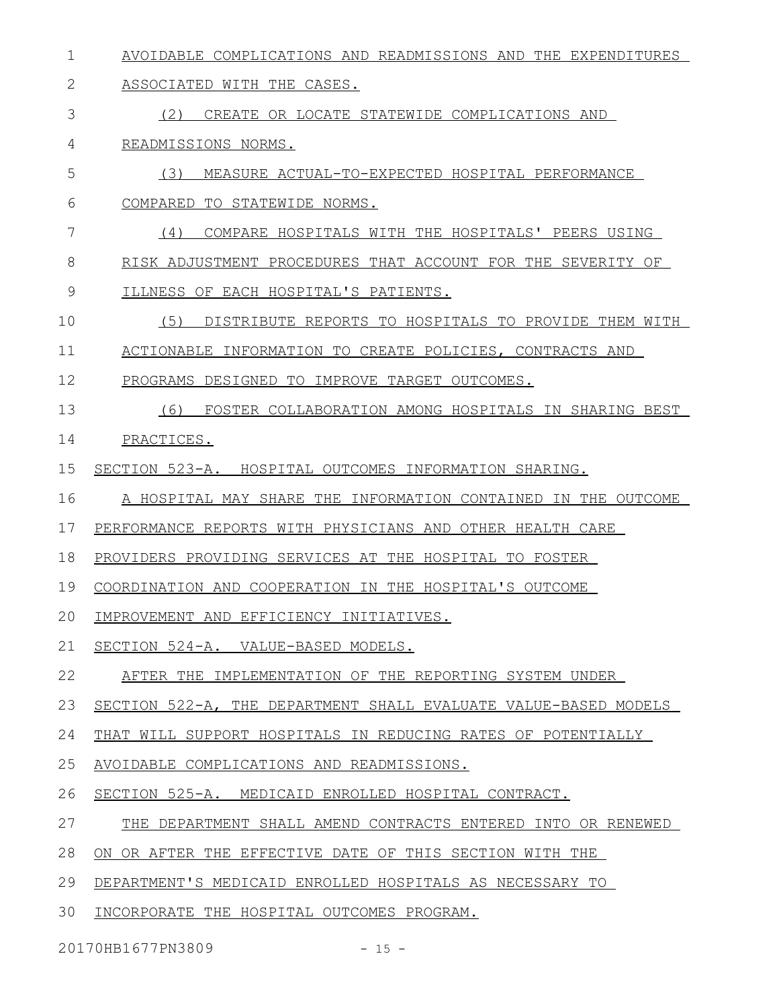- AVOIDABLE COMPLICATIONS AND READMISSIONS AND THE EXPENDITURES 1
- ASSOCIATED WITH THE CASES. 2
- (2) CREATE OR LOCATE STATEWIDE COMPLICATIONS AND 3
- READMISSIONS NORMS. 4
- (3) MEASURE ACTUAL-TO-EXPECTED HOSPITAL PERFORMANCE 5
- COMPARED TO STATEWIDE NORMS. 6
- (4) COMPARE HOSPITALS WITH THE HOSPITALS' PEERS USING RISK ADJUSTMENT PROCEDURES THAT ACCOUNT FOR THE SEVERITY OF 7 8
- ILLNESS OF EACH HOSPITAL'S PATIENTS. 9
- (5) DISTRIBUTE REPORTS TO HOSPITALS TO PROVIDE THEM WITH 10
- ACTIONABLE INFORMATION TO CREATE POLICIES, CONTRACTS AND 11
- PROGRAMS DESIGNED TO IMPROVE TARGET OUTCOMES. 12
- (6) FOSTER COLLABORATION AMONG HOSPITALS IN SHARING BEST 13
- PRACTICES. 14
- SECTION 523-A. HOSPITAL OUTCOMES INFORMATION SHARING. 15
- A HOSPITAL MAY SHARE THE INFORMATION CONTAINED IN THE OUTCOME 16
- PERFORMANCE REPORTS WITH PHYSICIANS AND OTHER HEALTH CARE 17
- PROVIDERS PROVIDING SERVICES AT THE HOSPITAL TO FOSTER 18
- COORDINATION AND COOPERATION IN THE HOSPITAL'S OUTCOME 19
- IMPROVEMENT AND EFFICIENCY INITIATIVES. 20
- SECTION 524-A. VALUE-BASED MODELS. 21
- AFTER THE IMPLEMENTATION OF THE REPORTING SYSTEM UNDER 22
- SECTION 522-A, THE DEPARTMENT SHALL EVALUATE VALUE-BASED MODELS 23
- THAT WILL SUPPORT HOSPITALS IN REDUCING RATES OF POTENTIALLY 24
- AVOIDABLE COMPLICATIONS AND READMISSIONS. 25
- SECTION 525-A. MEDICAID ENROLLED HOSPITAL CONTRACT. 26
- THE DEPARTMENT SHALL AMEND CONTRACTS ENTERED INTO OR RENEWED 27
- ON OR AFTER THE EFFECTIVE DATE OF THIS SECTION WITH THE 28
- DEPARTMENT'S MEDICAID ENROLLED HOSPITALS AS NECESSARY TO 29
- INCORPORATE THE HOSPITAL OUTCOMES PROGRAM. 30
- 20170HB1677PN3809 15 -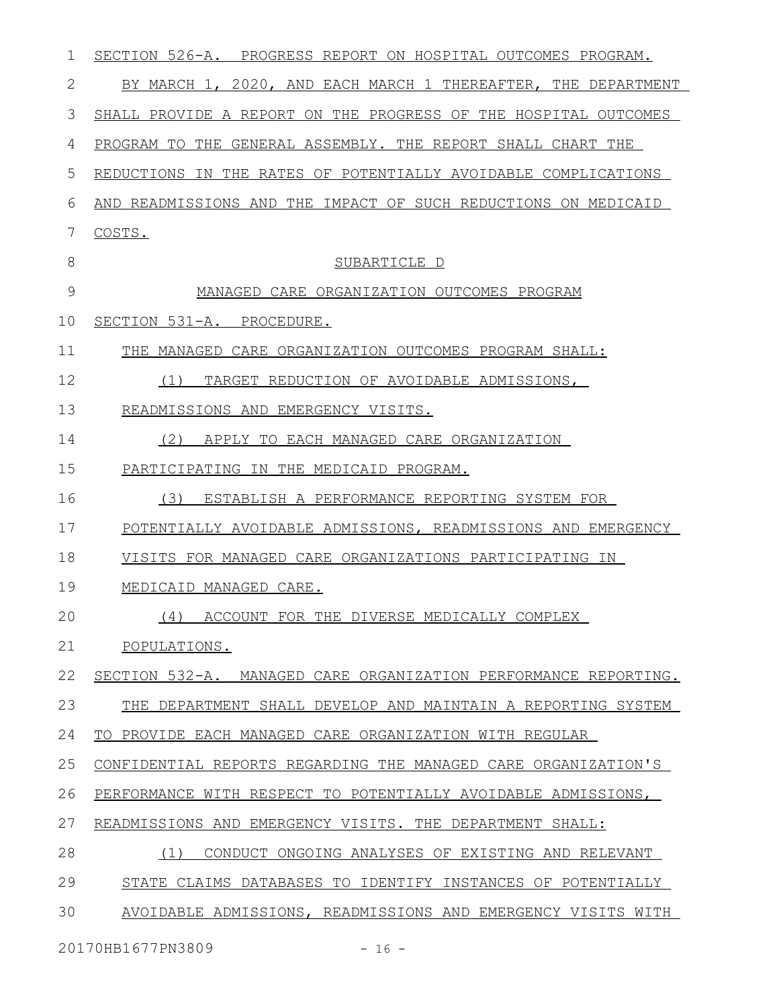| 1     | SECTION 526-A. PROGRESS REPORT ON HOSPITAL OUTCOMES PROGRAM.    |
|-------|-----------------------------------------------------------------|
| 2     | BY MARCH 1, 2020, AND EACH MARCH 1 THEREAFTER, THE DEPARTMENT   |
| 3     | SHALL PROVIDE A REPORT ON THE PROGRESS OF THE HOSPITAL OUTCOMES |
| 4     | PROGRAM TO THE GENERAL ASSEMBLY. THE REPORT SHALL CHART THE     |
| 5     | REDUCTIONS IN THE RATES OF POTENTIALLY AVOIDABLE COMPLICATIONS  |
| 6     | AND READMISSIONS AND THE IMPACT OF SUCH REDUCTIONS ON MEDICAID  |
| 7     | COSTS.                                                          |
| $8\,$ | SUBARTICLE D                                                    |
| 9     | MANAGED CARE ORGANIZATION OUTCOMES PROGRAM                      |
| 10    | SECTION 531-A. PROCEDURE.                                       |
| 11    | THE MANAGED CARE ORGANIZATION OUTCOMES PROGRAM SHALL:           |
| 12    | TARGET REDUCTION OF AVOIDABLE ADMISSIONS,<br>(1)                |
| 13    | READMISSIONS AND EMERGENCY VISITS.                              |
| 14    | (2)<br>APPLY TO EACH MANAGED CARE ORGANIZATION                  |
| 15    | PARTICIPATING IN THE MEDICAID PROGRAM.                          |
| 16    | (3)<br>ESTABLISH A PERFORMANCE REPORTING SYSTEM FOR             |
| 17    | POTENTIALLY AVOIDABLE ADMISSIONS, READMISSIONS AND EMERGENCY    |
| 18    | VISITS FOR MANAGED CARE ORGANIZATIONS PARTICIPATING IN          |
| 19    | MEDICAID MANAGED CARE.                                          |
| 20    | (4) ACCOUNT FOR THE DIVERSE MEDICALLY COMPLEX                   |
| 21    | POPULATIONS.                                                    |
| 22    | SECTION 532-A. MANAGED CARE ORGANIZATION PERFORMANCE REPORTING. |
| 23    | THE DEPARTMENT SHALL DEVELOP AND MAINTAIN A REPORTING SYSTEM    |
| 24    | TO PROVIDE EACH MANAGED CARE ORGANIZATION WITH REGULAR          |
| 25    | CONFIDENTIAL REPORTS REGARDING THE MANAGED CARE ORGANIZATION'S  |
| 26    | PERFORMANCE WITH RESPECT TO POTENTIALLY AVOIDABLE ADMISSIONS,   |
| 27    | READMISSIONS AND EMERGENCY VISITS. THE DEPARTMENT SHALL:        |
| 28    | (1)<br>CONDUCT ONGOING ANALYSES OF EXISTING AND RELEVANT        |
| 29    | STATE CLAIMS DATABASES TO IDENTIFY INSTANCES OF POTENTIALLY     |
| 30    | AVOIDABLE ADMISSIONS, READMISSIONS AND EMERGENCY VISITS WITH    |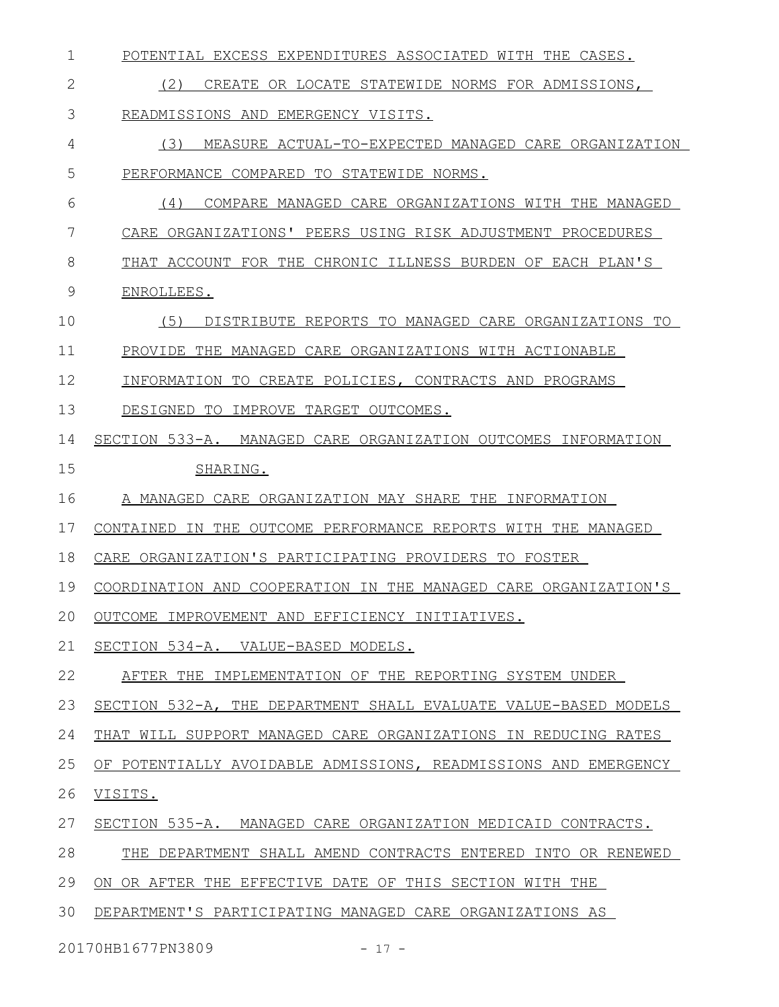| 1  | POTENTIAL EXCESS EXPENDITURES ASSOCIATED WITH THE CASES.        |
|----|-----------------------------------------------------------------|
| 2  | (2)<br>CREATE OR LOCATE STATEWIDE NORMS FOR ADMISSIONS,         |
| 3  | READMISSIONS AND EMERGENCY VISITS.                              |
| 4  | (3)<br>MEASURE ACTUAL-TO-EXPECTED MANAGED CARE ORGANIZATION     |
| 5  | PERFORMANCE COMPARED TO STATEWIDE NORMS.                        |
| 6  | (4)<br>COMPARE MANAGED CARE ORGANIZATIONS WITH THE MANAGED      |
| 7  | CARE ORGANIZATIONS' PEERS USING RISK ADJUSTMENT PROCEDURES      |
| 8  | THAT ACCOUNT FOR THE CHRONIC ILLNESS BURDEN OF EACH PLAN'S      |
| 9  | ENROLLEES.                                                      |
| 10 | (5)<br>DISTRIBUTE REPORTS TO MANAGED CARE ORGANIZATIONS TO      |
| 11 | PROVIDE THE MANAGED CARE ORGANIZATIONS WITH ACTIONABLE          |
| 12 | INFORMATION TO CREATE POLICIES, CONTRACTS AND PROGRAMS          |
| 13 | DESIGNED TO<br>IMPROVE TARGET OUTCOMES.                         |
| 14 | SECTION 533-A. MANAGED CARE ORGANIZATION OUTCOMES INFORMATION   |
| 15 | SHARING.                                                        |
| 16 | A MANAGED CARE ORGANIZATION MAY SHARE THE INFORMATION           |
| 17 | CONTAINED IN THE OUTCOME PERFORMANCE REPORTS WITH THE MANAGED   |
| 18 | CARE ORGANIZATION'S PARTICIPATING PROVIDERS TO FOSTER           |
| 19 | COORDINATION AND COOPERATION IN THE MANAGED CARE ORGANIZATION'S |
| 20 | OUTCOME IMPROVEMENT AND EFFICIENCY INITIATIVES.                 |
| 21 | SECTION 534-A. VALUE-BASED MODELS.                              |
| 22 | AFTER THE IMPLEMENTATION OF THE REPORTING SYSTEM UNDER          |
| 23 | SECTION 532-A, THE DEPARTMENT SHALL EVALUATE VALUE-BASED MODELS |
| 24 | THAT WILL SUPPORT MANAGED CARE ORGANIZATIONS IN REDUCING RATES  |
| 25 | OF POTENTIALLY AVOIDABLE ADMISSIONS, READMISSIONS AND EMERGENCY |
| 26 | VISITS.                                                         |
| 27 | SECTION 535-A. MANAGED CARE ORGANIZATION MEDICAID CONTRACTS.    |
| 28 | THE DEPARTMENT SHALL AMEND CONTRACTS ENTERED INTO OR RENEWED    |
| 29 | ON OR AFTER THE EFFECTIVE DATE OF THIS SECTION WITH THE         |
| 30 | DEPARTMENT'S PARTICIPATING MANAGED CARE ORGANIZATIONS AS        |

20170HB1677PN3809 - 17 -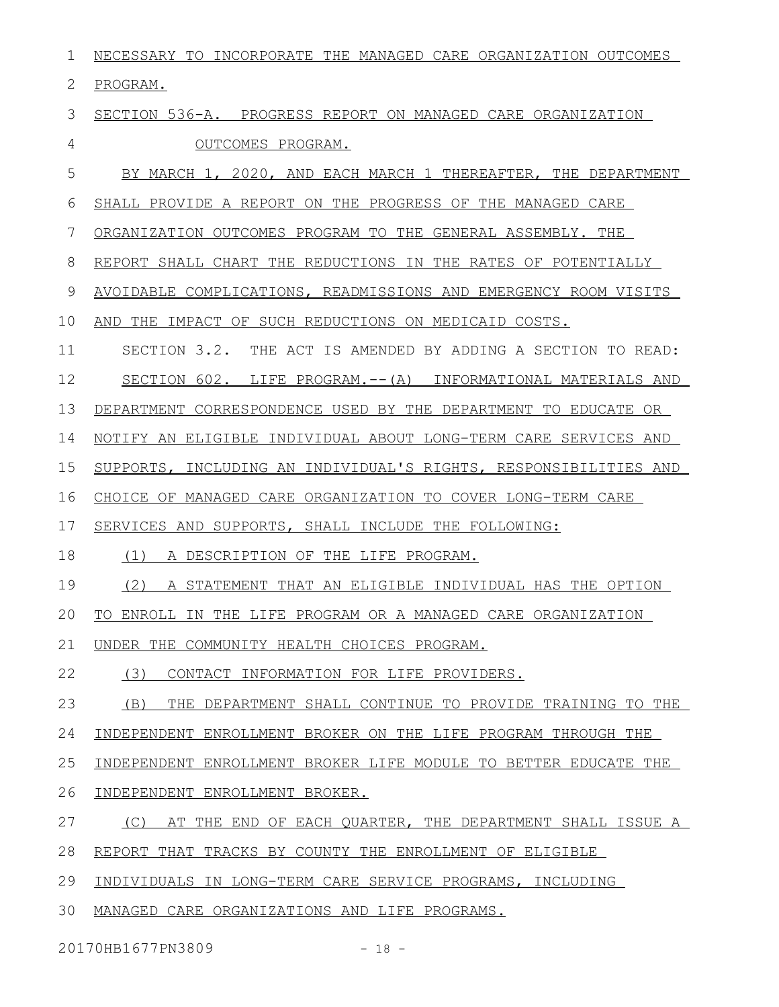| $\mathbf 1$ | NECESSARY TO INCORPORATE THE MANAGED CARE ORGANIZATION OUTCOMES      |
|-------------|----------------------------------------------------------------------|
| 2           | PROGRAM.                                                             |
| 3           | SECTION 536-A. PROGRESS REPORT ON MANAGED CARE ORGANIZATION          |
| 4           | OUTCOMES PROGRAM.                                                    |
| 5           | BY MARCH 1, 2020, AND EACH MARCH 1 THEREAFTER, THE DEPARTMENT        |
| 6           | SHALL PROVIDE A REPORT ON THE PROGRESS OF THE MANAGED CARE           |
| 7           | ORGANIZATION OUTCOMES PROGRAM TO THE GENERAL ASSEMBLY. THE           |
| 8           | REPORT SHALL CHART THE REDUCTIONS IN THE RATES OF POTENTIALLY        |
| 9           | AVOIDABLE COMPLICATIONS, READMISSIONS AND EMERGENCY ROOM VISITS      |
| 10          | AND THE IMPACT OF SUCH REDUCTIONS ON MEDICAID COSTS.                 |
| 11          | SECTION 3.2.<br>THE ACT IS AMENDED BY ADDING A SECTION TO READ:      |
| 12          | SECTION 602. LIFE PROGRAM.-- (A)<br>INFORMATIONAL MATERIALS AND      |
| 13          | DEPARTMENT<br>CORRESPONDENCE USED BY THE DEPARTMENT TO EDUCATE<br>OR |
| 14          | NOTIFY AN ELIGIBLE INDIVIDUAL ABOUT LONG-TERM CARE SERVICES AND      |
| 15          | INCLUDING AN INDIVIDUAL'S RIGHTS, RESPONSIBILITIES AND<br>SUPPORTS,  |
| 16          | CHOICE OF MANAGED CARE ORGANIZATION TO COVER LONG-TERM CARE          |
| 17          | SERVICES AND SUPPORTS, SHALL INCLUDE THE FOLLOWING:                  |
| 18          | (1)<br>A DESCRIPTION OF THE LIFE PROGRAM.                            |
| 19          | (2)<br>A STATEMENT THAT AN ELIGIBLE INDIVIDUAL HAS THE OPTION        |
| 20          | TO ENROLL IN THE LIFE PROGRAM OR A MANAGED CARE ORGANIZATION         |
| 21          | UNDER THE COMMUNITY HEALTH CHOICES PROGRAM.                          |
| 22          | (3)<br>CONTACT INFORMATION FOR LIFE PROVIDERS.                       |
| 23          | THE DEPARTMENT SHALL CONTINUE TO PROVIDE TRAINING TO THE<br>(B)      |
| 24          | INDEPENDENT ENROLLMENT BROKER ON THE LIFE PROGRAM THROUGH THE        |
| 25          | INDEPENDENT ENROLLMENT BROKER LIFE MODULE TO BETTER EDUCATE THE      |
| 26          | INDEPENDENT ENROLLMENT BROKER.                                       |
| 27          | (C)<br>AT THE END OF EACH QUARTER, THE DEPARTMENT SHALL ISSUE A      |
| 28          | REPORT THAT TRACKS BY COUNTY THE ENROLLMENT OF ELIGIBLE              |
| 29          | INDIVIDUALS IN LONG-TERM CARE SERVICE PROGRAMS, INCLUDING            |
| 30          | MANAGED CARE ORGANIZATIONS AND LIFE PROGRAMS.                        |

20170HB1677PN3809 - 18 -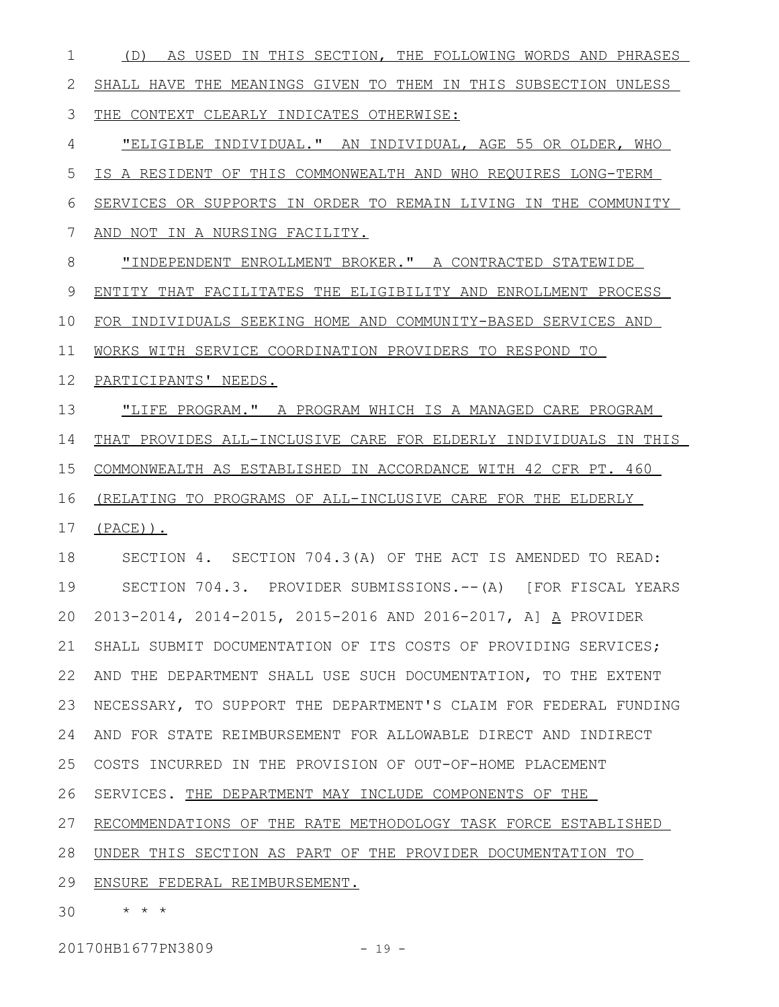(D) AS USED IN THIS SECTION, THE FOLLOWING WORDS AND PHRASES SHALL HAVE THE MEANINGS GIVEN TO THEM IN THIS SUBSECTION UNLESS THE CONTEXT CLEARLY INDICATES OTHERWISE: "ELIGIBLE INDIVIDUAL." AN INDIVIDUAL, AGE 55 OR OLDER, WHO IS A RESIDENT OF THIS COMMONWEALTH AND WHO REQUIRES LONG-TERM SERVICES OR SUPPORTS IN ORDER TO REMAIN LIVING IN THE COMMUNITY AND NOT IN A NURSING FACILITY. "INDEPENDENT ENROLLMENT BROKER." A CONTRACTED STATEWIDE ENTITY THAT FACILITATES THE ELIGIBILITY AND ENROLLMENT PROCESS FOR INDIVIDUALS SEEKING HOME AND COMMUNITY-BASED SERVICES AND WORKS WITH SERVICE COORDINATION PROVIDERS TO RESPOND TO PARTICIPANTS' NEEDS. "LIFE PROGRAM." A PROGRAM WHICH IS A MANAGED CARE PROGRAM THAT PROVIDES ALL-INCLUSIVE CARE FOR ELDERLY INDIVIDUALS IN THIS COMMONWEALTH AS ESTABLISHED IN ACCORDANCE WITH 42 CFR PT. 460 (RELATING TO PROGRAMS OF ALL-INCLUSIVE CARE FOR THE ELDERLY (PACE)). SECTION 4. SECTION 704.3(A) OF THE ACT IS AMENDED TO READ: SECTION 704.3. PROVIDER SUBMISSIONS.--(A) [FOR FISCAL YEARS 2013-2014, 2014-2015, 2015-2016 AND 2016-2017, A] A PROVIDER SHALL SUBMIT DOCUMENTATION OF ITS COSTS OF PROVIDING SERVICES; AND THE DEPARTMENT SHALL USE SUCH DOCUMENTATION, TO THE EXTENT 22 NECESSARY, TO SUPPORT THE DEPARTMENT'S CLAIM FOR FEDERAL FUNDING AND FOR STATE REIMBURSEMENT FOR ALLOWABLE DIRECT AND INDIRECT COSTS INCURRED IN THE PROVISION OF OUT-OF-HOME PLACEMENT SERVICES. THE DEPARTMENT MAY INCLUDE COMPONENTS OF THE RECOMMENDATIONS OF THE RATE METHODOLOGY TASK FORCE ESTABLISHED UNDER THIS SECTION AS PART OF THE PROVIDER DOCUMENTATION TO 28 29 ENSURE FEDERAL REIMBURSEMENT. \* \* \* 301 2 3 4 5 6 7 8 9 10 11 12 13 14 15 16 17 18 19 20 21 23 24 25 26 27

20170HB1677PN3809 - 19 -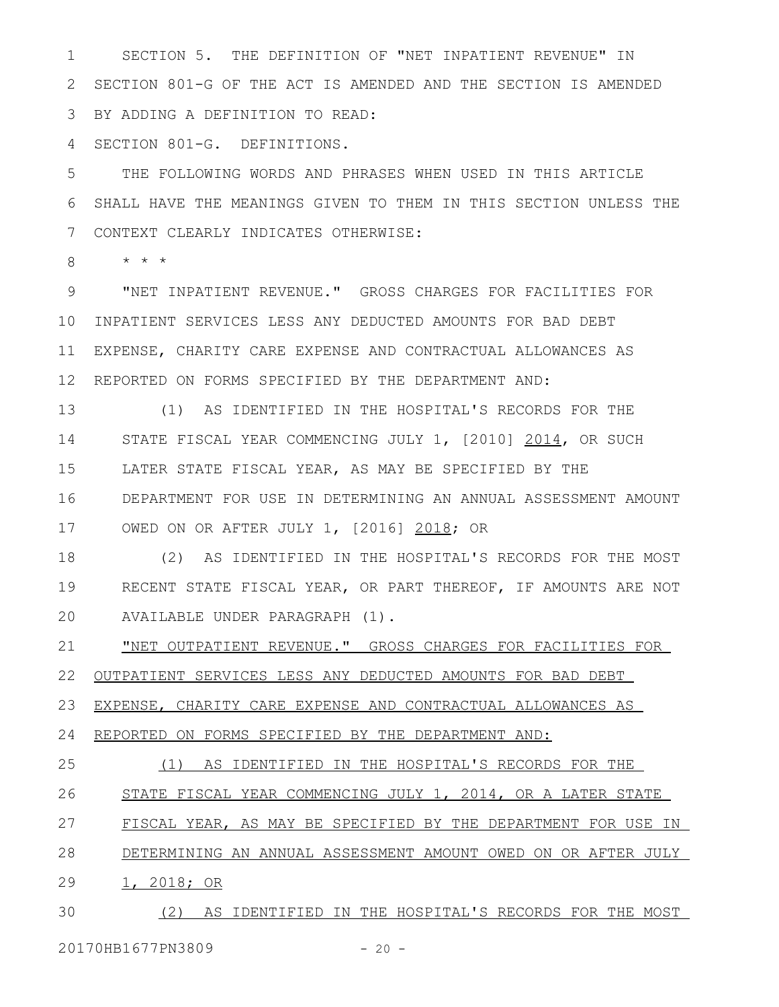SECTION 5. THE DEFINITION OF "NET INPATIENT REVENUE" IN SECTION 801-G OF THE ACT IS AMENDED AND THE SECTION IS AMENDED BY ADDING A DEFINITION TO READ: 1 2 3

SECTION 801-G. DEFINITIONS. 4

THE FOLLOWING WORDS AND PHRASES WHEN USED IN THIS ARTICLE SHALL HAVE THE MEANINGS GIVEN TO THEM IN THIS SECTION UNLESS THE CONTEXT CLEARLY INDICATES OTHERWISE: 5 6 7

\* \* \* 8

"NET INPATIENT REVENUE." GROSS CHARGES FOR FACILITIES FOR 10 INPATIENT SERVICES LESS ANY DEDUCTED AMOUNTS FOR BAD DEBT EXPENSE, CHARITY CARE EXPENSE AND CONTRACTUAL ALLOWANCES AS REPORTED ON FORMS SPECIFIED BY THE DEPARTMENT AND: 9 11 12

(1) AS IDENTIFIED IN THE HOSPITAL'S RECORDS FOR THE STATE FISCAL YEAR COMMENCING JULY 1, [2010] 2014, OR SUCH LATER STATE FISCAL YEAR, AS MAY BE SPECIFIED BY THE DEPARTMENT FOR USE IN DETERMINING AN ANNUAL ASSESSMENT AMOUNT OWED ON OR AFTER JULY 1, [2016] 2018; OR 13 14 15 16 17

(2) AS IDENTIFIED IN THE HOSPITAL'S RECORDS FOR THE MOST RECENT STATE FISCAL YEAR, OR PART THEREOF, IF AMOUNTS ARE NOT AVAILABLE UNDER PARAGRAPH (1). 18 19 20

"NET OUTPATIENT REVENUE." GROSS CHARGES FOR FACILITIES FOR 21

OUTPATIENT SERVICES LESS ANY DEDUCTED AMOUNTS FOR BAD DEBT 22

EXPENSE, CHARITY CARE EXPENSE AND CONTRACTUAL ALLOWANCES AS 23

REPORTED ON FORMS SPECIFIED BY THE DEPARTMENT AND: 24

(1) AS IDENTIFIED IN THE HOSPITAL'S RECORDS FOR THE STATE FISCAL YEAR COMMENCING JULY 1, 2014, OR A LATER STATE FISCAL YEAR, AS MAY BE SPECIFIED BY THE DEPARTMENT FOR USE IN DETERMINING AN ANNUAL ASSESSMENT AMOUNT OWED ON OR AFTER JULY 1, 2018; OR 25 26 27 28 29

(2) AS IDENTIFIED IN THE HOSPITAL'S RECORDS FOR THE MOST 30

20170HB1677PN3809 - 20 -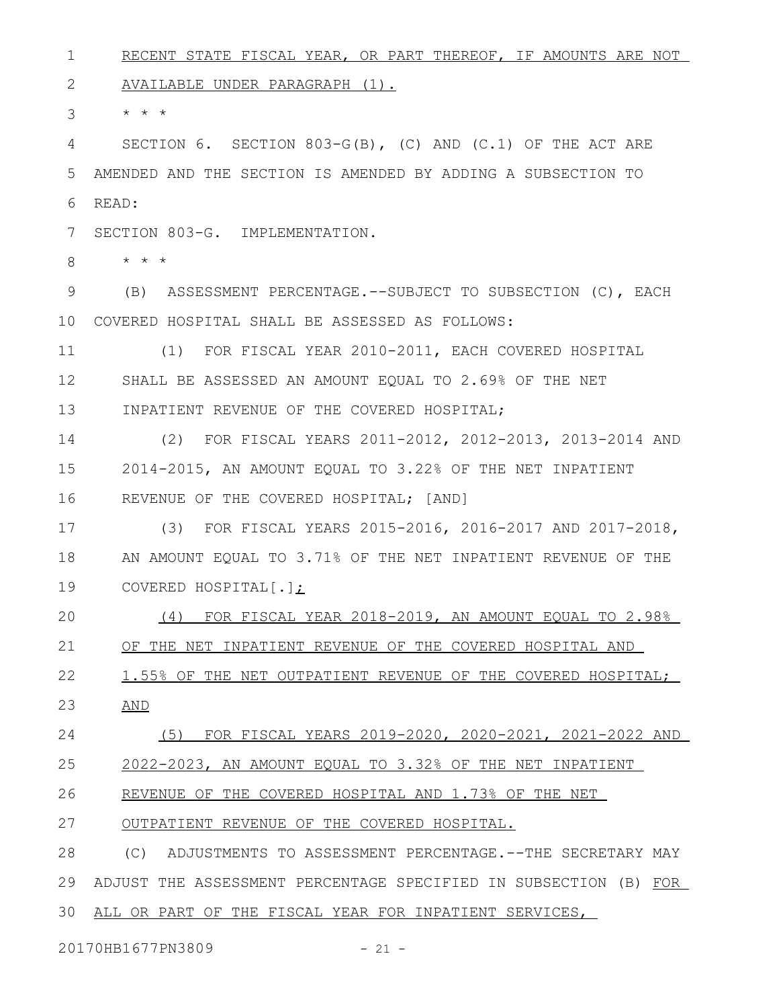RECENT STATE FISCAL YEAR, OR PART THEREOF, IF AMOUNTS ARE NOT AVAILABLE UNDER PARAGRAPH (1). \* \* \* SECTION 6. SECTION 803-G(B), (C) AND (C.1) OF THE ACT ARE AMENDED AND THE SECTION IS AMENDED BY ADDING A SUBSECTION TO READ: SECTION 803-G. IMPLEMENTATION. \* \* \* (B) ASSESSMENT PERCENTAGE.--SUBJECT TO SUBSECTION (C), EACH 10 COVERED HOSPITAL SHALL BE ASSESSED AS FOLLOWS: (1) FOR FISCAL YEAR 2010-2011, EACH COVERED HOSPITAL SHALL BE ASSESSED AN AMOUNT EQUAL TO 2.69% OF THE NET INPATIENT REVENUE OF THE COVERED HOSPITAL; (2) FOR FISCAL YEARS 2011-2012, 2012-2013, 2013-2014 AND 2014-2015, AN AMOUNT EQUAL TO 3.22% OF THE NET INPATIENT REVENUE OF THE COVERED HOSPITAL; [AND] (3) FOR FISCAL YEARS 2015-2016, 2016-2017 AND 2017-2018, AN AMOUNT EQUAL TO 3.71% OF THE NET INPATIENT REVENUE OF THE COVERED HOSPITAL[.]; (4) FOR FISCAL YEAR 2018-2019, AN AMOUNT EQUAL TO 2.98% OF THE NET INPATIENT REVENUE OF THE COVERED HOSPITAL AND 1.55% OF THE NET OUTPATIENT REVENUE OF THE COVERED HOSPITAL; AND (5) FOR FISCAL YEARS 2019-2020, 2020-2021, 2021-2022 AND 2022-2023, AN AMOUNT EQUAL TO 3.32% OF THE NET INPATIENT REVENUE OF THE COVERED HOSPITAL AND 1.73% OF THE NET OUTPATIENT REVENUE OF THE COVERED HOSPITAL. (C) ADJUSTMENTS TO ASSESSMENT PERCENTAGE.--THE SECRETARY MAY ADJUST THE ASSESSMENT PERCENTAGE SPECIFIED IN SUBSECTION (B) FOR ALL OR PART OF THE FISCAL YEAR FOR INPATIENT SERVICES, 301 2 3 4 5 6 7 8 9 11 12 13 14 15 16 17 18 19 20 21 22 23 24 25 26 27 28 29

20170HB1677PN3809 - 21 -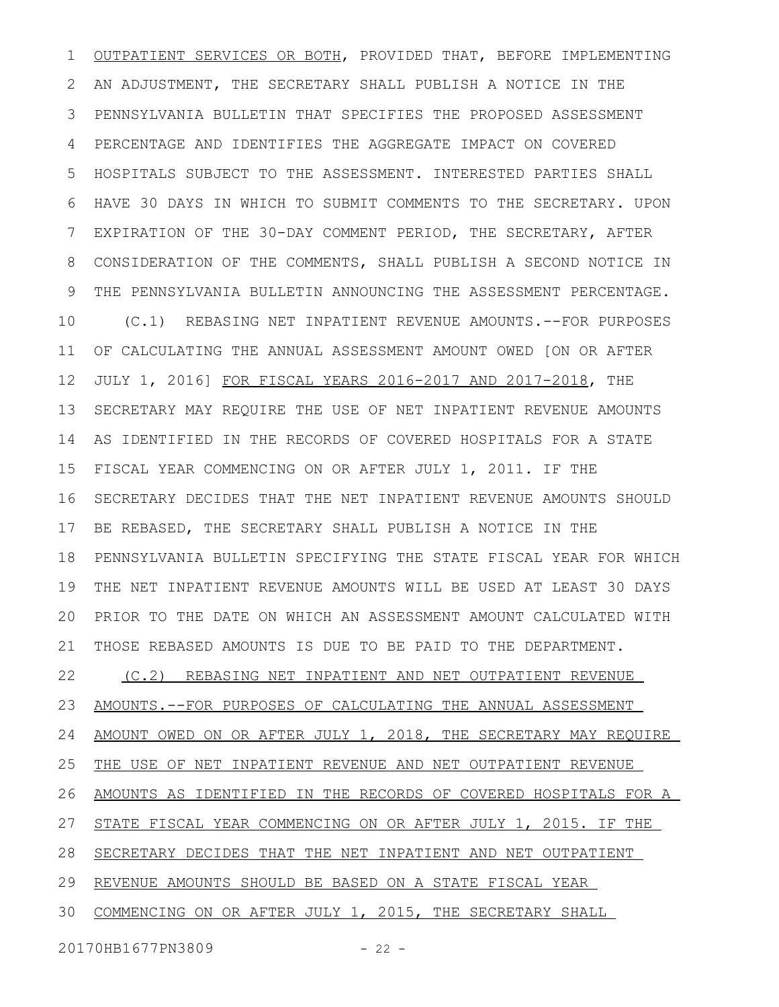OUTPATIENT SERVICES OR BOTH, PROVIDED THAT, BEFORE IMPLEMENTING AN ADJUSTMENT, THE SECRETARY SHALL PUBLISH A NOTICE IN THE PENNSYLVANIA BULLETIN THAT SPECIFIES THE PROPOSED ASSESSMENT PERCENTAGE AND IDENTIFIES THE AGGREGATE IMPACT ON COVERED HOSPITALS SUBJECT TO THE ASSESSMENT. INTERESTED PARTIES SHALL HAVE 30 DAYS IN WHICH TO SUBMIT COMMENTS TO THE SECRETARY. UPON EXPIRATION OF THE 30-DAY COMMENT PERIOD, THE SECRETARY, AFTER CONSIDERATION OF THE COMMENTS, SHALL PUBLISH A SECOND NOTICE IN THE PENNSYLVANIA BULLETIN ANNOUNCING THE ASSESSMENT PERCENTAGE. (C.1) REBASING NET INPATIENT REVENUE AMOUNTS.--FOR PURPOSES OF CALCULATING THE ANNUAL ASSESSMENT AMOUNT OWED [ON OR AFTER JULY 1, 2016] FOR FISCAL YEARS 2016-2017 AND 2017-2018, THE SECRETARY MAY REQUIRE THE USE OF NET INPATIENT REVENUE AMOUNTS AS IDENTIFIED IN THE RECORDS OF COVERED HOSPITALS FOR A STATE FISCAL YEAR COMMENCING ON OR AFTER JULY 1, 2011. IF THE SECRETARY DECIDES THAT THE NET INPATIENT REVENUE AMOUNTS SHOULD BE REBASED, THE SECRETARY SHALL PUBLISH A NOTICE IN THE PENNSYLVANIA BULLETIN SPECIFYING THE STATE FISCAL YEAR FOR WHICH THE NET INPATIENT REVENUE AMOUNTS WILL BE USED AT LEAST 30 DAYS PRIOR TO THE DATE ON WHICH AN ASSESSMENT AMOUNT CALCULATED WITH THOSE REBASED AMOUNTS IS DUE TO BE PAID TO THE DEPARTMENT. (C.2) REBASING NET INPATIENT AND NET OUTPATIENT REVENUE AMOUNTS.--FOR PURPOSES OF CALCULATING THE ANNUAL ASSESSMENT AMOUNT OWED ON OR AFTER JULY 1, 2018, THE SECRETARY MAY REQUIRE THE USE OF NET INPATIENT REVENUE AND NET OUTPATIENT REVENUE AMOUNTS AS IDENTIFIED IN THE RECORDS OF COVERED HOSPITALS FOR A STATE FISCAL YEAR COMMENCING ON OR AFTER JULY 1, 2015. IF THE 28 SECRETARY DECIDES THAT THE NET INPATIENT AND NET OUTPATIENT 29 REVENUE AMOUNTS SHOULD BE BASED ON A STATE FISCAL YEAR 30 COMMENCING ON OR AFTER JULY 1, 2015, THE SECRETARY SHALL 1 2 3 4 5 6 7 8 9 10 11 12 13 14 15 16 17 18 19 20 21 22 23 24 25 26 27

20170HB1677PN3809 - 22 -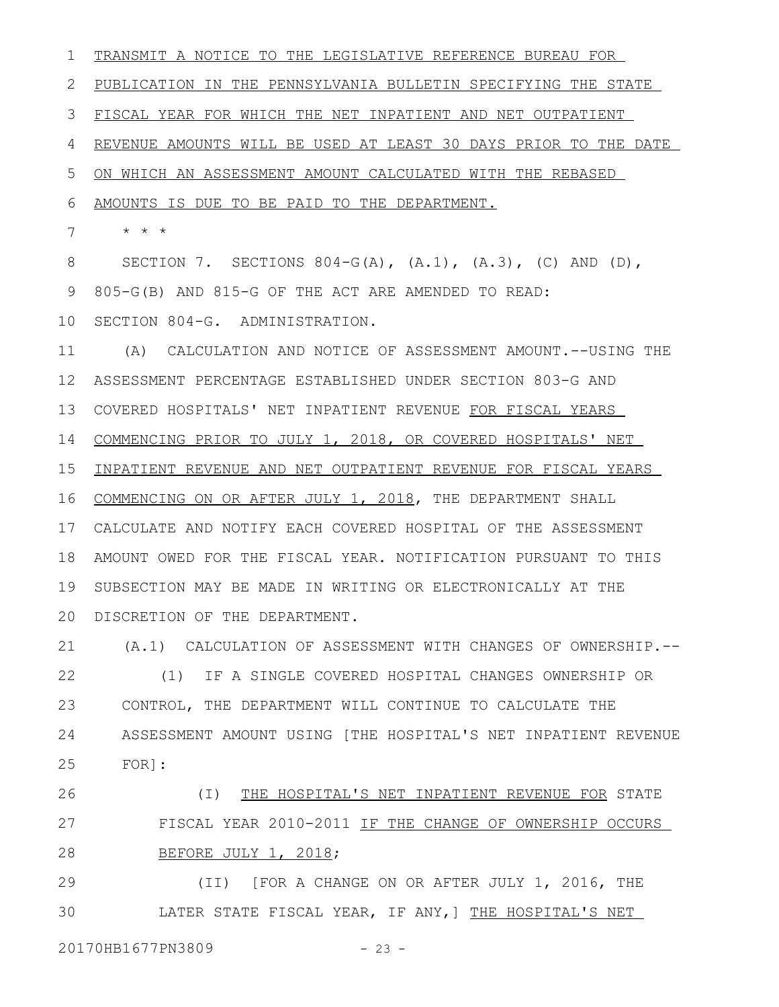TRANSMIT A NOTICE TO THE LEGISLATIVE REFERENCE BUREAU FOR PUBLICATION IN THE PENNSYLVANIA BULLETIN SPECIFYING THE STATE FISCAL YEAR FOR WHICH THE NET INPATIENT AND NET OUTPATIENT REVENUE AMOUNTS WILL BE USED AT LEAST 30 DAYS PRIOR TO THE DATE ON WHICH AN ASSESSMENT AMOUNT CALCULATED WITH THE REBASED AMOUNTS IS DUE TO BE PAID TO THE DEPARTMENT. \* \* \* SECTION 7. SECTIONS 804-G(A),  $(A.1)$ ,  $(A.3)$ ,  $(C)$  AND  $(D)$ , 805-G(B) AND 815-G OF THE ACT ARE AMENDED TO READ: 10 SECTION 804-G. ADMINISTRATION. (A) CALCULATION AND NOTICE OF ASSESSMENT AMOUNT.--USING THE ASSESSMENT PERCENTAGE ESTABLISHED UNDER SECTION 803-G AND 13 COVERED HOSPITALS' NET INPATIENT REVENUE FOR FISCAL YEARS COMMENCING PRIOR TO JULY 1, 2018, OR COVERED HOSPITALS' NET INPATIENT REVENUE AND NET OUTPATIENT REVENUE FOR FISCAL YEARS COMMENCING ON OR AFTER JULY 1, 2018, THE DEPARTMENT SHALL CALCULATE AND NOTIFY EACH COVERED HOSPITAL OF THE ASSESSMENT 17 AMOUNT OWED FOR THE FISCAL YEAR. NOTIFICATION PURSUANT TO THIS SUBSECTION MAY BE MADE IN WRITING OR ELECTRONICALLY AT THE 20 DISCRETION OF THE DEPARTMENT. (A.1) CALCULATION OF ASSESSMENT WITH CHANGES OF OWNERSHIP.-- (1) IF A SINGLE COVERED HOSPITAL CHANGES OWNERSHIP OR CONTROL, THE DEPARTMENT WILL CONTINUE TO CALCULATE THE ASSESSMENT AMOUNT USING [THE HOSPITAL'S NET INPATIENT REVENUE FOR]: (I) THE HOSPITAL'S NET INPATIENT REVENUE FOR STATE FISCAL YEAR 2010-2011 IF THE CHANGE OF OWNERSHIP OCCURS BEFORE JULY 1, 2018; 1 2 3 4 5 6 7 8 9 11 12 14 15 16 18 19 21 22 23 24 25 26 27 28

(II) [FOR A CHANGE ON OR AFTER JULY 1, 2016, THE LATER STATE FISCAL YEAR, IF ANY,] THE HOSPITAL'S NET 29 30

20170HB1677PN3809 - 23 -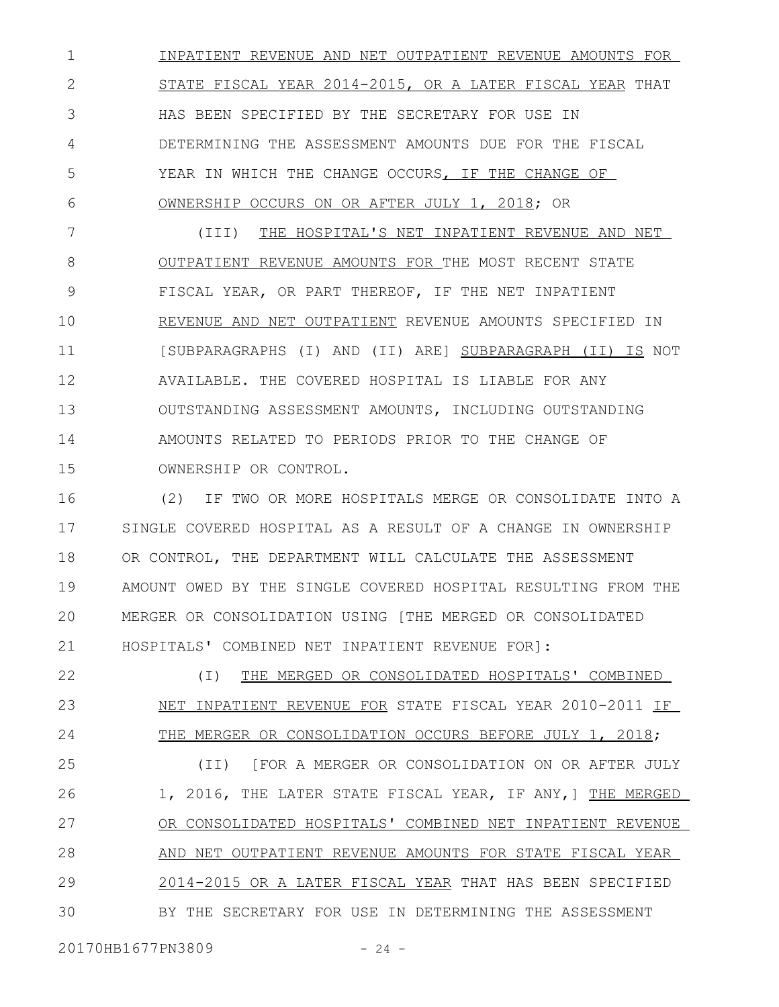INPATIENT REVENUE AND NET OUTPATIENT REVENUE AMOUNTS FOR STATE FISCAL YEAR 2014-2015, OR A LATER FISCAL YEAR THAT HAS BEEN SPECIFIED BY THE SECRETARY FOR USE IN DETERMINING THE ASSESSMENT AMOUNTS DUE FOR THE FISCAL YEAR IN WHICH THE CHANGE OCCURS, IF THE CHANGE OF OWNERSHIP OCCURS ON OR AFTER JULY 1, 2018; OR 1 2 3 4 5 6

(III) THE HOSPITAL'S NET INPATIENT REVENUE AND NET OUTPATIENT REVENUE AMOUNTS FOR THE MOST RECENT STATE FISCAL YEAR, OR PART THEREOF, IF THE NET INPATIENT REVENUE AND NET OUTPATIENT REVENUE AMOUNTS SPECIFIED IN [SUBPARAGRAPHS (I) AND (II) ARE] SUBPARAGRAPH (II) IS NOT AVAILABLE. THE COVERED HOSPITAL IS LIABLE FOR ANY OUTSTANDING ASSESSMENT AMOUNTS, INCLUDING OUTSTANDING AMOUNTS RELATED TO PERIODS PRIOR TO THE CHANGE OF OWNERSHIP OR CONTROL. 7 8 9 10 11 12 13 14 15

(2) IF TWO OR MORE HOSPITALS MERGE OR CONSOLIDATE INTO A SINGLE COVERED HOSPITAL AS A RESULT OF A CHANGE IN OWNERSHIP OR CONTROL, THE DEPARTMENT WILL CALCULATE THE ASSESSMENT AMOUNT OWED BY THE SINGLE COVERED HOSPITAL RESULTING FROM THE MERGER OR CONSOLIDATION USING [THE MERGED OR CONSOLIDATED HOSPITALS' COMBINED NET INPATIENT REVENUE FOR]: 16 17 18 19 20 21

(I) THE MERGED OR CONSOLIDATED HOSPITALS' COMBINED NET INPATIENT REVENUE FOR STATE FISCAL YEAR 2010-2011 IF THE MERGER OR CONSOLIDATION OCCURS BEFORE JULY 1, 2018; 22 23 24

(II) [FOR A MERGER OR CONSOLIDATION ON OR AFTER JULY 1, 2016, THE LATER STATE FISCAL YEAR, IF ANY,] THE MERGED OR CONSOLIDATED HOSPITALS' COMBINED NET INPATIENT REVENUE AND NET OUTPATIENT REVENUE AMOUNTS FOR STATE FISCAL YEAR 2014-2015 OR A LATER FISCAL YEAR THAT HAS BEEN SPECIFIED BY THE SECRETARY FOR USE IN DETERMINING THE ASSESSMENT 25 26 27 28 29 30

20170HB1677PN3809 - 24 -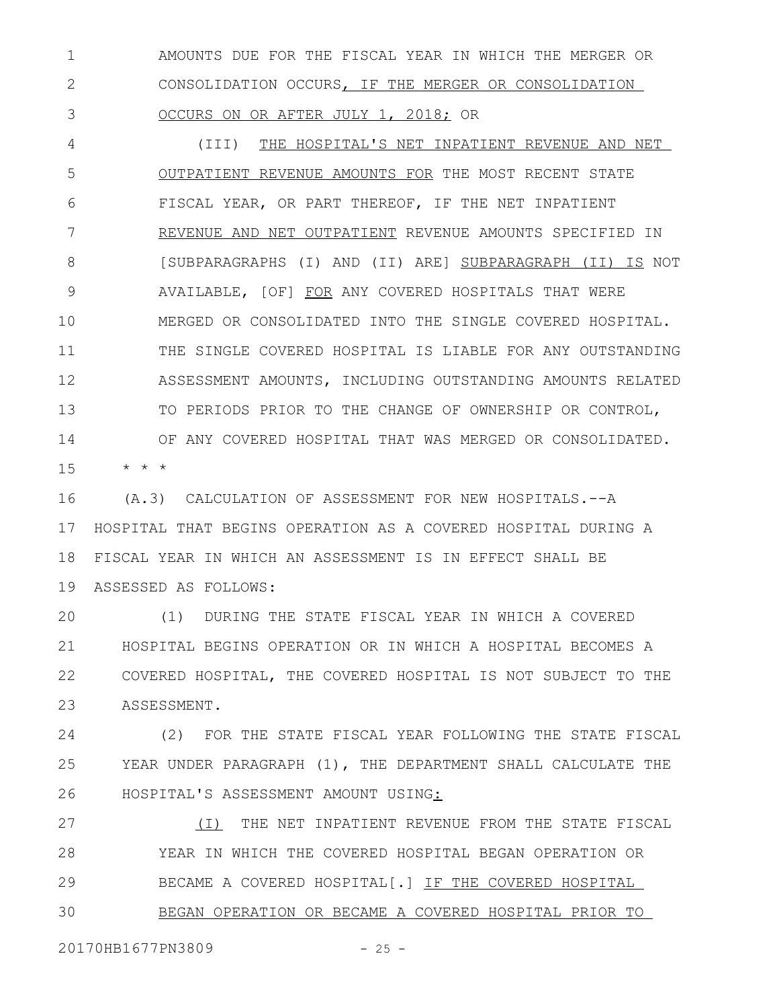AMOUNTS DUE FOR THE FISCAL YEAR IN WHICH THE MERGER OR CONSOLIDATION OCCURS, IF THE MERGER OR CONSOLIDATION OCCURS ON OR AFTER JULY 1, 2018; OR 1 2 3

(III) THE HOSPITAL'S NET INPATIENT REVENUE AND NET OUTPATIENT REVENUE AMOUNTS FOR THE MOST RECENT STATE FISCAL YEAR, OR PART THEREOF, IF THE NET INPATIENT REVENUE AND NET OUTPATIENT REVENUE AMOUNTS SPECIFIED IN [SUBPARAGRAPHS (I) AND (II) ARE] SUBPARAGRAPH (II) IS NOT AVAILABLE, [OF] FOR ANY COVERED HOSPITALS THAT WERE MERGED OR CONSOLIDATED INTO THE SINGLE COVERED HOSPITAL. THE SINGLE COVERED HOSPITAL IS LIABLE FOR ANY OUTSTANDING ASSESSMENT AMOUNTS, INCLUDING OUTSTANDING AMOUNTS RELATED TO PERIODS PRIOR TO THE CHANGE OF OWNERSHIP OR CONTROL, OF ANY COVERED HOSPITAL THAT WAS MERGED OR CONSOLIDATED. 4 5 6 7 8 9 10 11 12 13 14

\* \* \* 15

(A.3) CALCULATION OF ASSESSMENT FOR NEW HOSPITALS.--A HOSPITAL THAT BEGINS OPERATION AS A COVERED HOSPITAL DURING A FISCAL YEAR IN WHICH AN ASSESSMENT IS IN EFFECT SHALL BE ASSESSED AS FOLLOWS: 19 16 17 18

(1) DURING THE STATE FISCAL YEAR IN WHICH A COVERED HOSPITAL BEGINS OPERATION OR IN WHICH A HOSPITAL BECOMES A COVERED HOSPITAL, THE COVERED HOSPITAL IS NOT SUBJECT TO THE ASSESSMENT. 20 21 22 23

(2) FOR THE STATE FISCAL YEAR FOLLOWING THE STATE FISCAL YEAR UNDER PARAGRAPH (1), THE DEPARTMENT SHALL CALCULATE THE HOSPITAL'S ASSESSMENT AMOUNT USING: 24 25 26

(I) THE NET INPATIENT REVENUE FROM THE STATE FISCAL YEAR IN WHICH THE COVERED HOSPITAL BEGAN OPERATION OR BECAME A COVERED HOSPITAL[.] IF THE COVERED HOSPITAL BEGAN OPERATION OR BECAME A COVERED HOSPITAL PRIOR TO 27 28 29 30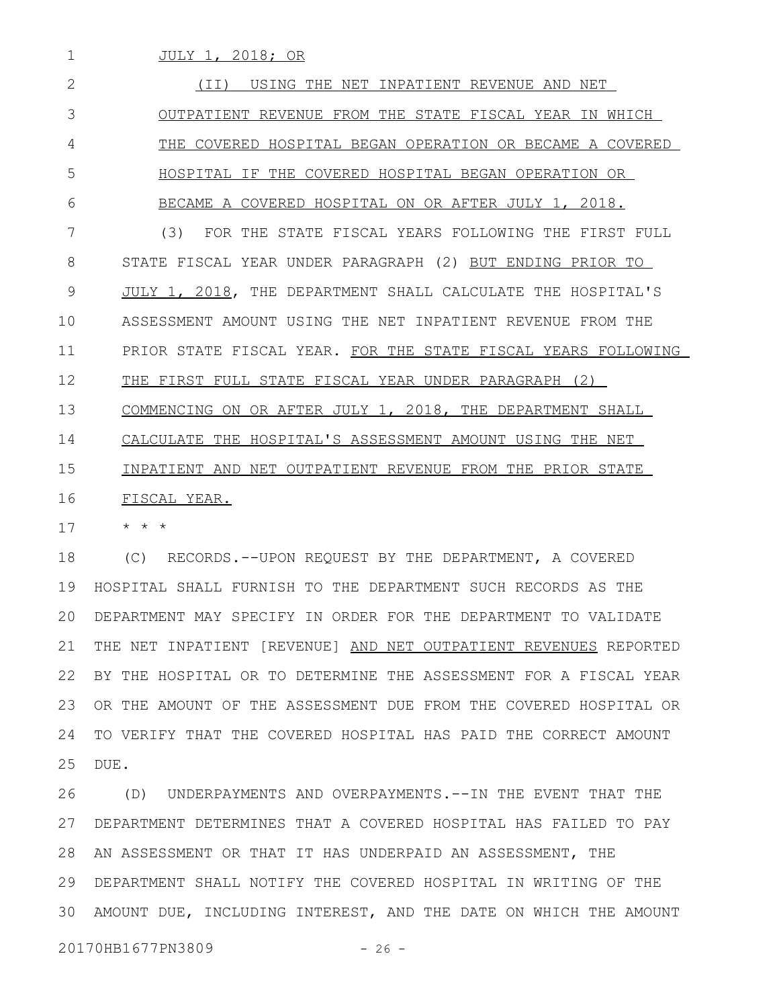JULY 1, 2018; OR

(II) USING THE NET INPATIENT REVENUE AND NET OUTPATIENT REVENUE FROM THE STATE FISCAL YEAR IN WHICH THE COVERED HOSPITAL BEGAN OPERATION OR BECAME A COVERED HOSPITAL IF THE COVERED HOSPITAL BEGAN OPERATION OR BECAME A COVERED HOSPITAL ON OR AFTER JULY 1, 2018. (3) FOR THE STATE FISCAL YEARS FOLLOWING THE FIRST FULL STATE FISCAL YEAR UNDER PARAGRAPH (2) BUT ENDING PRIOR TO JULY 1, 2018, THE DEPARTMENT SHALL CALCULATE THE HOSPITAL'S ASSESSMENT AMOUNT USING THE NET INPATIENT REVENUE FROM THE PRIOR STATE FISCAL YEAR. FOR THE STATE FISCAL YEARS FOLLOWING THE FIRST FULL STATE FISCAL YEAR UNDER PARAGRAPH (2) COMMENCING ON OR AFTER JULY 1, 2018, THE DEPARTMENT SHALL CALCULATE THE HOSPITAL'S ASSESSMENT AMOUNT USING THE NET INPATIENT AND NET OUTPATIENT REVENUE FROM THE PRIOR STATE FISCAL YEAR. 2 3 4 5 6 7 8 9 10 11 12 13 14 15 16

\* \* \* 17

1

(C) RECORDS.--UPON REQUEST BY THE DEPARTMENT, A COVERED HOSPITAL SHALL FURNISH TO THE DEPARTMENT SUCH RECORDS AS THE DEPARTMENT MAY SPECIFY IN ORDER FOR THE DEPARTMENT TO VALIDATE THE NET INPATIENT [REVENUE] AND NET OUTPATIENT REVENUES REPORTED BY THE HOSPITAL OR TO DETERMINE THE ASSESSMENT FOR A FISCAL YEAR 22 OR THE AMOUNT OF THE ASSESSMENT DUE FROM THE COVERED HOSPITAL OR TO VERIFY THAT THE COVERED HOSPITAL HAS PAID THE CORRECT AMOUNT DUE. 18 19 20 21 23 24 25

(D) UNDERPAYMENTS AND OVERPAYMENTS.--IN THE EVENT THAT THE DEPARTMENT DETERMINES THAT A COVERED HOSPITAL HAS FAILED TO PAY 27 28 AN ASSESSMENT OR THAT IT HAS UNDERPAID AN ASSESSMENT, THE DEPARTMENT SHALL NOTIFY THE COVERED HOSPITAL IN WRITING OF THE 29 AMOUNT DUE, INCLUDING INTEREST, AND THE DATE ON WHICH THE AMOUNT 3026

20170HB1677PN3809 - 26 -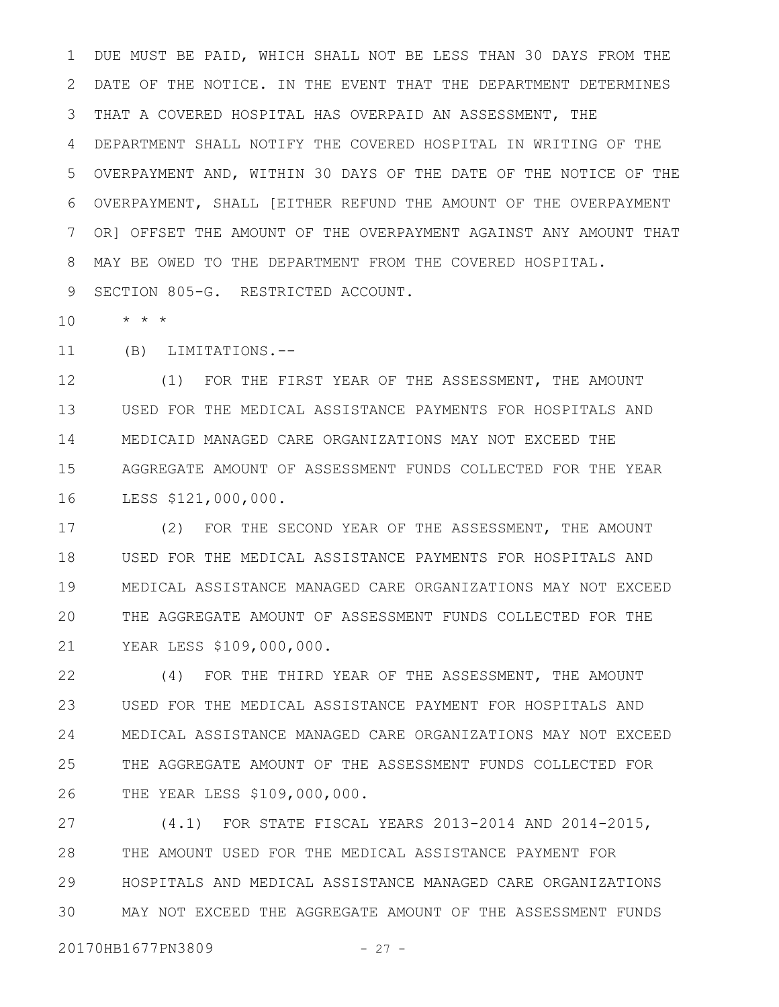DUE MUST BE PAID, WHICH SHALL NOT BE LESS THAN 30 DAYS FROM THE DATE OF THE NOTICE. IN THE EVENT THAT THE DEPARTMENT DETERMINES THAT A COVERED HOSPITAL HAS OVERPAID AN ASSESSMENT, THE DEPARTMENT SHALL NOTIFY THE COVERED HOSPITAL IN WRITING OF THE OVERPAYMENT AND, WITHIN 30 DAYS OF THE DATE OF THE NOTICE OF THE OVERPAYMENT, SHALL [EITHER REFUND THE AMOUNT OF THE OVERPAYMENT OR] OFFSET THE AMOUNT OF THE OVERPAYMENT AGAINST ANY AMOUNT THAT MAY BE OWED TO THE DEPARTMENT FROM THE COVERED HOSPITAL. SECTION 805-G. RESTRICTED ACCOUNT. 1 2 3 4 5 6 7 8 9

\* \* \* 10

(B) LIMITATIONS.-- 11

(1) FOR THE FIRST YEAR OF THE ASSESSMENT, THE AMOUNT USED FOR THE MEDICAL ASSISTANCE PAYMENTS FOR HOSPITALS AND MEDICAID MANAGED CARE ORGANIZATIONS MAY NOT EXCEED THE AGGREGATE AMOUNT OF ASSESSMENT FUNDS COLLECTED FOR THE YEAR LESS \$121,000,000. 12 13 14 15 16

(2) FOR THE SECOND YEAR OF THE ASSESSMENT, THE AMOUNT USED FOR THE MEDICAL ASSISTANCE PAYMENTS FOR HOSPITALS AND MEDICAL ASSISTANCE MANAGED CARE ORGANIZATIONS MAY NOT EXCEED THE AGGREGATE AMOUNT OF ASSESSMENT FUNDS COLLECTED FOR THE YEAR LESS \$109,000,000. 17 18 19 20 21

(4) FOR THE THIRD YEAR OF THE ASSESSMENT, THE AMOUNT USED FOR THE MEDICAL ASSISTANCE PAYMENT FOR HOSPITALS AND MEDICAL ASSISTANCE MANAGED CARE ORGANIZATIONS MAY NOT EXCEED THE AGGREGATE AMOUNT OF THE ASSESSMENT FUNDS COLLECTED FOR THE YEAR LESS \$109,000,000. 22 23 24 25 26

(4.1) FOR STATE FISCAL YEARS 2013-2014 AND 2014-2015, THE AMOUNT USED FOR THE MEDICAL ASSISTANCE PAYMENT FOR HOSPITALS AND MEDICAL ASSISTANCE MANAGED CARE ORGANIZATIONS MAY NOT EXCEED THE AGGREGATE AMOUNT OF THE ASSESSMENT FUNDS 27 28 29 30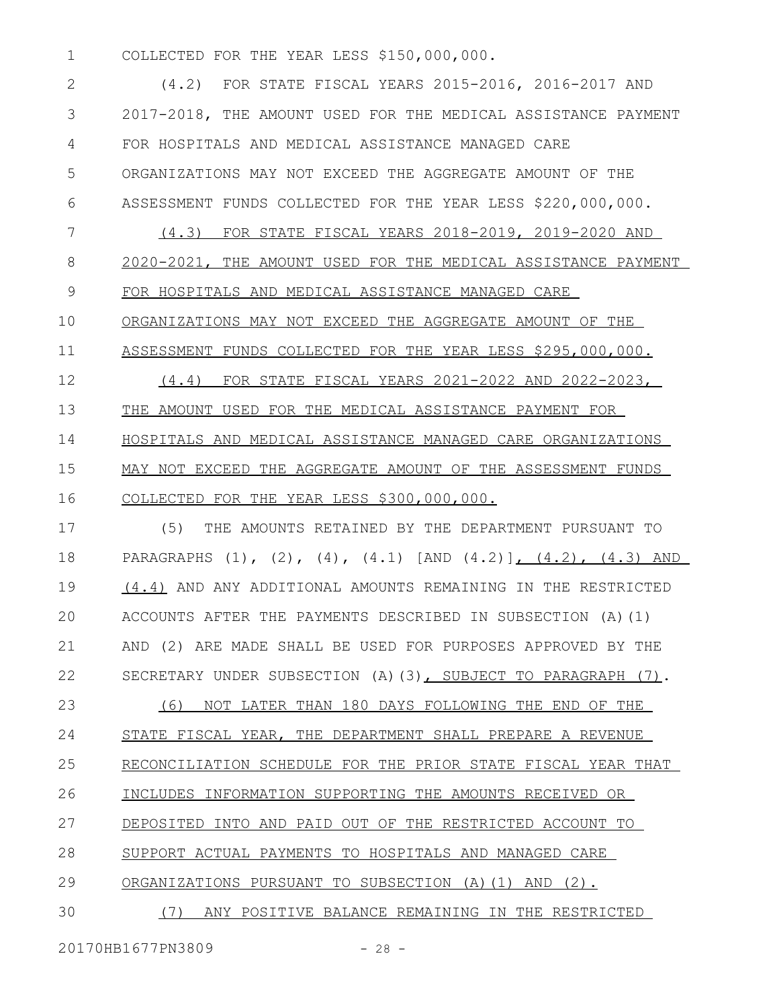COLLECTED FOR THE YEAR LESS \$150,000,000. 1

(4.2) FOR STATE FISCAL YEARS 2015-2016, 2016-2017 AND 2017-2018, THE AMOUNT USED FOR THE MEDICAL ASSISTANCE PAYMENT FOR HOSPITALS AND MEDICAL ASSISTANCE MANAGED CARE ORGANIZATIONS MAY NOT EXCEED THE AGGREGATE AMOUNT OF THE ASSESSMENT FUNDS COLLECTED FOR THE YEAR LESS \$220,000,000. (4.3) FOR STATE FISCAL YEARS 2018-2019, 2019-2020 AND 2020-2021, THE AMOUNT USED FOR THE MEDICAL ASSISTANCE PAYMENT FOR HOSPITALS AND MEDICAL ASSISTANCE MANAGED CARE ORGANIZATIONS MAY NOT EXCEED THE AGGREGATE AMOUNT OF THE ASSESSMENT FUNDS COLLECTED FOR THE YEAR LESS \$295,000,000. (4.4) FOR STATE FISCAL YEARS 2021-2022 AND 2022-2023, THE AMOUNT USED FOR THE MEDICAL ASSISTANCE PAYMENT FOR HOSPITALS AND MEDICAL ASSISTANCE MANAGED CARE ORGANIZATIONS MAY NOT EXCEED THE AGGREGATE AMOUNT OF THE ASSESSMENT FUNDS COLLECTED FOR THE YEAR LESS \$300,000,000. 2 3 4 5 6 7 8 9 10 11 12 13 14 15 16

(5) THE AMOUNTS RETAINED BY THE DEPARTMENT PURSUANT TO PARAGRAPHS  $(1)$ ,  $(2)$ ,  $(4)$ ,  $(4.1)$  [AND  $(4.2)$ ],  $(4.2)$ ,  $(4.3)$  AND (4.4) AND ANY ADDITIONAL AMOUNTS REMAINING IN THE RESTRICTED ACCOUNTS AFTER THE PAYMENTS DESCRIBED IN SUBSECTION (A)(1) AND (2) ARE MADE SHALL BE USED FOR PURPOSES APPROVED BY THE SECRETARY UNDER SUBSECTION (A)(3), SUBJECT TO PARAGRAPH (7). 17 18 19 20 21 22

(6) NOT LATER THAN 180 DAYS FOLLOWING THE END OF THE STATE FISCAL YEAR, THE DEPARTMENT SHALL PREPARE A REVENUE RECONCILIATION SCHEDULE FOR THE PRIOR STATE FISCAL YEAR THAT INCLUDES INFORMATION SUPPORTING THE AMOUNTS RECEIVED OR DEPOSITED INTO AND PAID OUT OF THE RESTRICTED ACCOUNT TO SUPPORT ACTUAL PAYMENTS TO HOSPITALS AND MANAGED CARE ORGANIZATIONS PURSUANT TO SUBSECTION (A)(1) AND (2). (7) ANY POSITIVE BALANCE REMAINING IN THE RESTRICTED 23 24 25 26 27 28 29 30

20170HB1677PN3809 - 28 -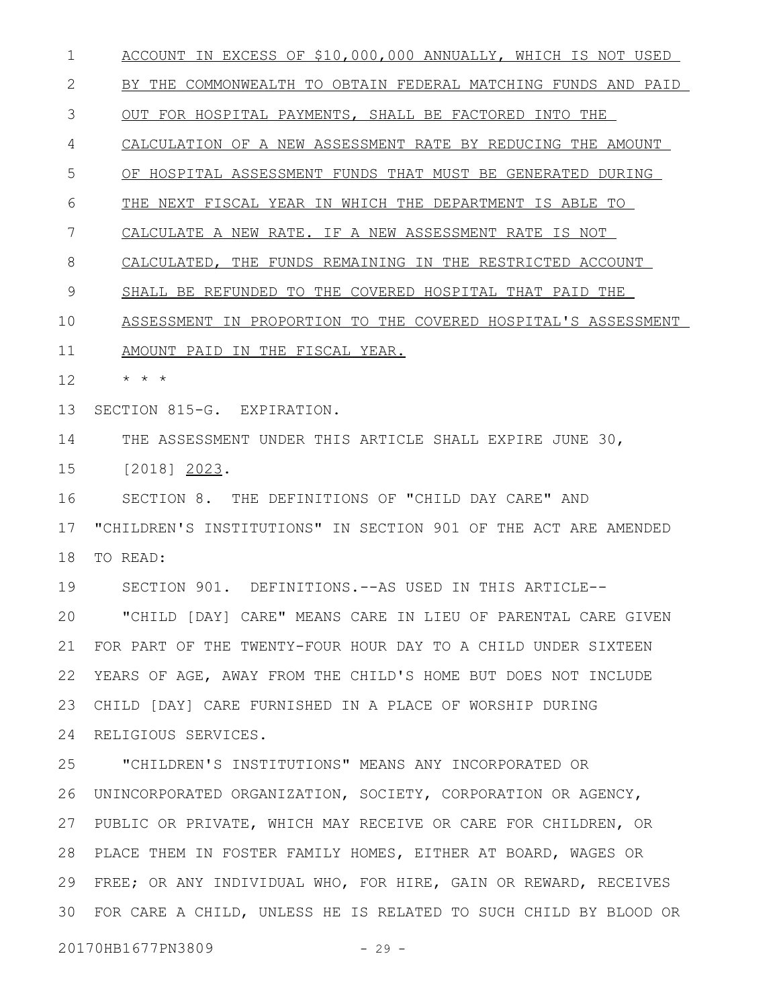ACCOUNT IN EXCESS OF \$10,000,000 ANNUALLY, WHICH IS NOT USED BY THE COMMONWEALTH TO OBTAIN FEDERAL MATCHING FUNDS AND PAID OUT FOR HOSPITAL PAYMENTS, SHALL BE FACTORED INTO THE CALCULATION OF A NEW ASSESSMENT RATE BY REDUCING THE AMOUNT OF HOSPITAL ASSESSMENT FUNDS THAT MUST BE GENERATED DURING THE NEXT FISCAL YEAR IN WHICH THE DEPARTMENT IS ABLE TO CALCULATE A NEW RATE. IF A NEW ASSESSMENT RATE IS NOT CALCULATED, THE FUNDS REMAINING IN THE RESTRICTED ACCOUNT SHALL BE REFUNDED TO THE COVERED HOSPITAL THAT PAID THE ASSESSMENT IN PROPORTION TO THE COVERED HOSPITAL'S ASSESSMENT AMOUNT PAID IN THE FISCAL YEAR. \* \* \* SECTION 815-G. EXPIRATION. THE ASSESSMENT UNDER THIS ARTICLE SHALL EXPIRE JUNE 30, [2018] 2023. SECTION 8. THE DEFINITIONS OF "CHILD DAY CARE" AND "CHILDREN'S INSTITUTIONS" IN SECTION 901 OF THE ACT ARE AMENDED TO READ: SECTION 901. DEFINITIONS.--AS USED IN THIS ARTICLE-- "CHILD [DAY] CARE" MEANS CARE IN LIEU OF PARENTAL CARE GIVEN FOR PART OF THE TWENTY-FOUR HOUR DAY TO A CHILD UNDER SIXTEEN YEARS OF AGE, AWAY FROM THE CHILD'S HOME BUT DOES NOT INCLUDE 22 CHILD [DAY] CARE FURNISHED IN A PLACE OF WORSHIP DURING RELIGIOUS SERVICES. 24 "CHILDREN'S INSTITUTIONS" MEANS ANY INCORPORATED OR UNINCORPORATED ORGANIZATION, SOCIETY, CORPORATION OR AGENCY, 26 27 PUBLIC OR PRIVATE, WHICH MAY RECEIVE OR CARE FOR CHILDREN, OR PLACE THEM IN FOSTER FAMILY HOMES, EITHER AT BOARD, WAGES OR 28 FREE; OR ANY INDIVIDUAL WHO, FOR HIRE, GAIN OR REWARD, RECEIVES FOR CARE A CHILD, UNLESS HE IS RELATED TO SUCH CHILD BY BLOOD OR 3020170HB1677PN3809 - 29 -1 2 3 4 5 6 7 8 9 10 11 12 13 14 15 16 17 18 19 20 21 23 25 29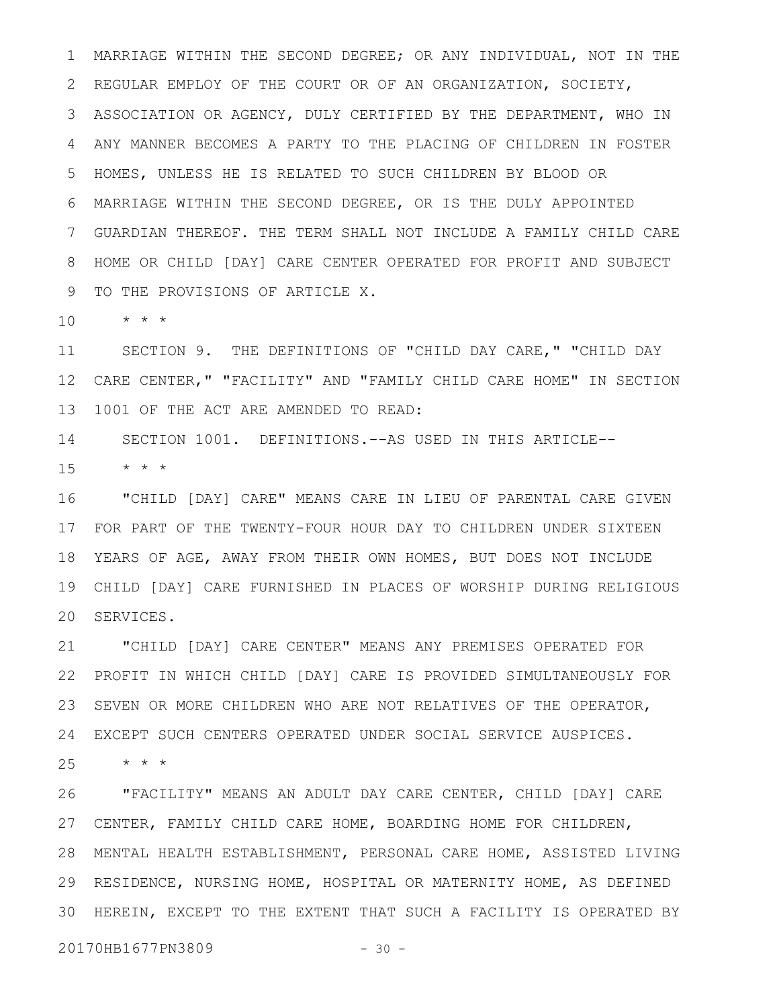MARRIAGE WITHIN THE SECOND DEGREE; OR ANY INDIVIDUAL, NOT IN THE REGULAR EMPLOY OF THE COURT OR OF AN ORGANIZATION, SOCIETY, ASSOCIATION OR AGENCY, DULY CERTIFIED BY THE DEPARTMENT, WHO IN ANY MANNER BECOMES A PARTY TO THE PLACING OF CHILDREN IN FOSTER HOMES, UNLESS HE IS RELATED TO SUCH CHILDREN BY BLOOD OR MARRIAGE WITHIN THE SECOND DEGREE, OR IS THE DULY APPOINTED GUARDIAN THEREOF. THE TERM SHALL NOT INCLUDE A FAMILY CHILD CARE HOME OR CHILD [DAY] CARE CENTER OPERATED FOR PROFIT AND SUBJECT TO THE PROVISIONS OF ARTICLE X. 1 2 3 4 5 6 7 8 9

\* \* \* 10

SECTION 9. THE DEFINITIONS OF "CHILD DAY CARE," "CHILD DAY CARE CENTER," "FACILITY" AND "FAMILY CHILD CARE HOME" IN SECTION 1001 OF THE ACT ARE AMENDED TO READ: 11 12 13

SECTION 1001. DEFINITIONS.--AS USED IN THIS ARTICLE-- 14

 $\star$   $\hspace{0.1cm} \star$   $\hspace{0.1cm} \star$ 15

"CHILD [DAY] CARE" MEANS CARE IN LIEU OF PARENTAL CARE GIVEN FOR PART OF THE TWENTY-FOUR HOUR DAY TO CHILDREN UNDER SIXTEEN 17 YEARS OF AGE, AWAY FROM THEIR OWN HOMES, BUT DOES NOT INCLUDE CHILD [DAY] CARE FURNISHED IN PLACES OF WORSHIP DURING RELIGIOUS 20 SERVICES. 16 18 19

"CHILD [DAY] CARE CENTER" MEANS ANY PREMISES OPERATED FOR PROFIT IN WHICH CHILD [DAY] CARE IS PROVIDED SIMULTANEOUSLY FOR SEVEN OR MORE CHILDREN WHO ARE NOT RELATIVES OF THE OPERATOR, EXCEPT SUCH CENTERS OPERATED UNDER SOCIAL SERVICE AUSPICES. 24 21 22 23

\* \* \* 25

"FACILITY" MEANS AN ADULT DAY CARE CENTER, CHILD [DAY] CARE CENTER, FAMILY CHILD CARE HOME, BOARDING HOME FOR CHILDREN, 27 MENTAL HEALTH ESTABLISHMENT, PERSONAL CARE HOME, ASSISTED LIVING 28 29 RESIDENCE, NURSING HOME, HOSPITAL OR MATERNITY HOME, AS DEFINED 30 HEREIN, EXCEPT TO THE EXTENT THAT SUCH A FACILITY IS OPERATED BY 26

20170HB1677PN3809 - 30 -